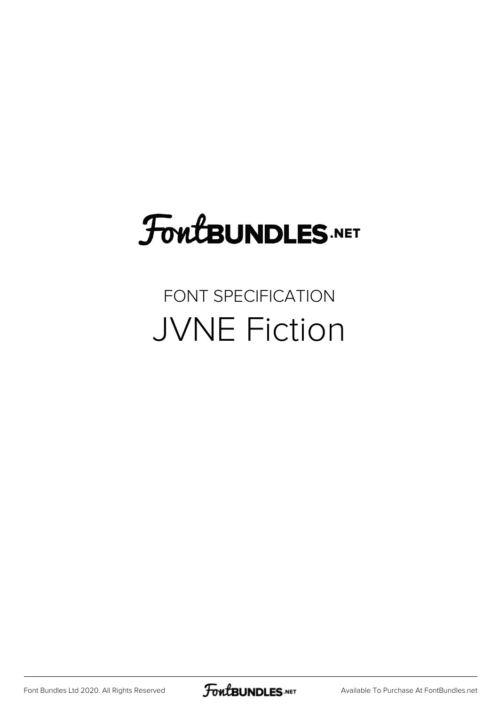# **FoutBUNDLES.NET**

## FONT SPECIFICATION JVNE Fiction

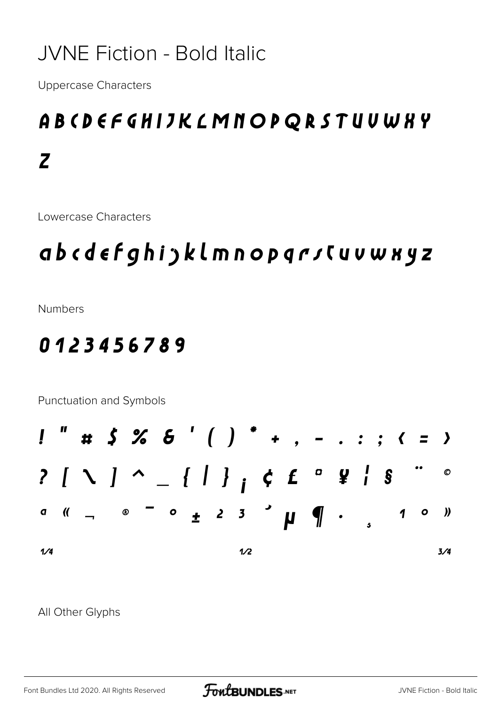#### **JVNE Fiction - Bold Italic**

**Uppercase Characters** 

## ABCDEFGHIJKLMNOPQRSTUUWKY  $\overline{z}$

Lowercase Characters

### abcdefghijklmnopqrsCuvwxyz

**Numbers** 

#### 0123456789

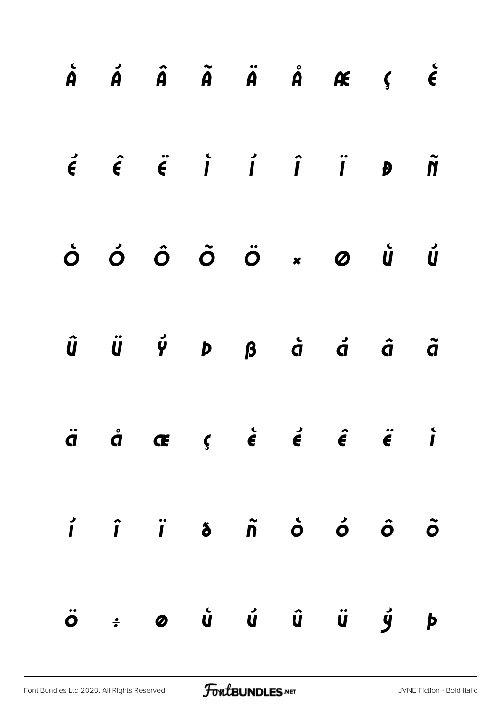|  |  |  | $\dot{A}$ $\dot{A}$ $\dot{A}$ $\ddot{A}$ $\dot{A}$ $\dot{A}$ $\dot{A}$ $\dot{C}$ $\dot{\epsilon}$                                                                                                                                                                                                                                                                                                                                                                                                                                        |  |
|--|--|--|------------------------------------------------------------------------------------------------------------------------------------------------------------------------------------------------------------------------------------------------------------------------------------------------------------------------------------------------------------------------------------------------------------------------------------------------------------------------------------------------------------------------------------------|--|
|  |  |  | $\acute{\epsilon}$ $\acute{\epsilon}$ $\acute{\epsilon}$ $\acute{i}$ $\acute{i}$ $\acute{i}$ $\acute{i}$ $\acute{j}$ $\acute{j}$ $\acute{j}$ $\acute{j}$                                                                                                                                                                                                                                                                                                                                                                                 |  |
|  |  |  | $\begin{array}{ccccccccccccccccc} \dot{\circ} & \dot{\circ} & \dot{\circ} & \ddot{\circ} & \ddot{\circ} & \ast & \circ & \dot{\circ} & \dot{\circ} & \dot{\circ} & \dot{\circ} & \dot{\circ} & \dot{\circ} & \dot{\circ} & \dot{\circ} & \dot{\circ} & \dot{\circ} & \dot{\circ} & \dot{\circ} & \dot{\circ} & \dot{\circ} & \dot{\circ} & \dot{\circ} & \dot{\circ} & \dot{\circ} & \dot{\circ} & \dot{\circ} & \dot{\circ} & \dot{\circ} & \dot{\circ} & \dot{\circ} & \dot{\circ} & \dot{\circ} & \dot{\circ} & \dot{\circ} & \dot{\$ |  |
|  |  |  | $\hat{u}$ $\ddot{u}$ $\acute{\varphi}$ $\beta$ $\acute{\alpha}$ $\acute{\alpha}$ $\acute{\alpha}$ $\ddot{\alpha}$                                                                                                                                                                                                                                                                                                                                                                                                                        |  |
|  |  |  | $\ddot{q}$ $\dot{q}$ $\alpha$ $\zeta$ $\dot{\epsilon}$ $\dot{\epsilon}$ $\dot{\epsilon}$ $\ddot{\epsilon}$ $\ddot{\epsilon}$ $\ddot{\epsilon}$                                                                                                                                                                                                                                                                                                                                                                                           |  |
|  |  |  |                                                                                                                                                                                                                                                                                                                                                                                                                                                                                                                                          |  |
|  |  |  | ö ÷ ø ů ů û ü ý þ                                                                                                                                                                                                                                                                                                                                                                                                                                                                                                                        |  |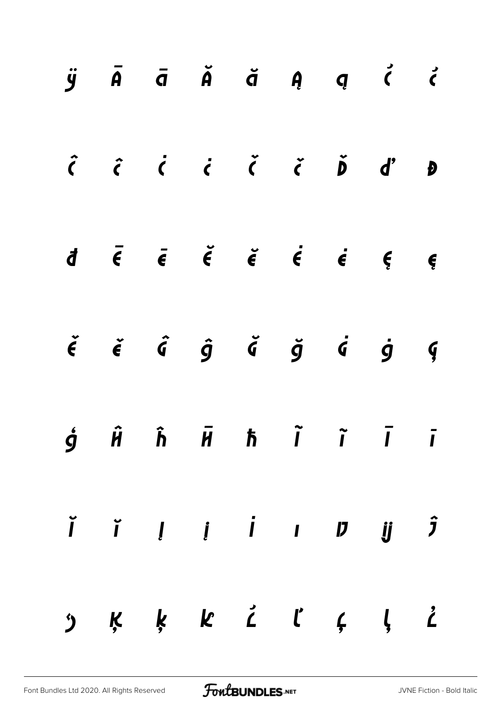|  |  |  | $\ddot{y}$ $\bar{A}$ $\bar{d}$ $\ddot{A}$ $\ddot{q}$ $\ddot{q}$ $\ddot{q}$ $\ddot{q}$                                                                                                                                                                                                                                                                                                                                                                                |  |
|--|--|--|----------------------------------------------------------------------------------------------------------------------------------------------------------------------------------------------------------------------------------------------------------------------------------------------------------------------------------------------------------------------------------------------------------------------------------------------------------------------|--|
|  |  |  |                                                                                                                                                                                                                                                                                                                                                                                                                                                                      |  |
|  |  |  | $\overline{d}$ $\overline{e}$ $\overline{e}$ $\overline{e}$ $\overline{e}$ $\overline{e}$ $\overline{e}$ $\overline{e}$ $\overline{e}$ $\overline{e}$ $\overline{e}$ $\overline{e}$ $\overline{e}$ $\overline{e}$ $\overline{e}$ $\overline{e}$ $\overline{e}$ $\overline{e}$ $\overline{e}$ $\overline{e}$ $\overline{e}$ $\overline{e}$ $\overline{e}$ $\overline{e}$ $\overline{$                                                                                 |  |
|  |  |  | $\check{\epsilon}$ $\check{\epsilon}$ $\hat{\sigma}$ $\hat{g}$ $\check{\sigma}$ $\check{g}$ $\check{g}$ $\check{g}$ $\check{g}$                                                                                                                                                                                                                                                                                                                                      |  |
|  |  |  | $\dot{g}$ $\hat{H}$ $\hat{h}$ $\bar{H}$ $\hbar$ $\tilde{I}$ $\tilde{I}$ $\tilde{I}$                                                                                                                                                                                                                                                                                                                                                                                  |  |
|  |  |  | $\begin{array}{ccccccccccccccccc} \check{I} & \check{I} & \check{I} & \check{I} & \check{I} & \check{I} & \check{I} & \check{I} & \check{J} & \check{J} & \check{J} & \check{J} & \check{J} & \check{J} & \check{J} & \check{J} & \check{J} & \check{J} & \check{J} & \check{J} & \check{J} & \check{J} & \check{J} & \check{J} & \check{J} & \check{J} & \check{J} & \check{J} & \check{J} & \check{J} & \check{J} & \check{J} & \check{J} & \check{J} & \check{J}$ |  |
|  |  |  | $\begin{array}{cccccccccccccccccc} \mathfrak{H} & \mathfrak{K} & \mathfrak{K} & \mathfrak{K} & \mathfrak{K} & \mathfrak{L} & \mathfrak{C} & \mathfrak{K} & \mathfrak{K} & \mathfrak{K} & \mathfrak{K} & \mathfrak{K} & \mathfrak{K} & \mathfrak{K} & \mathfrak{K} & \mathfrak{K} & \mathfrak{K} & \mathfrak{K} & \mathfrak{K} & \mathfrak{K} & \mathfrak{K} & \mathfrak{K} & \mathfrak{K} & \mathfrak{K} & \mathfrak{K} & \mathfrak{K} & \$                          |  |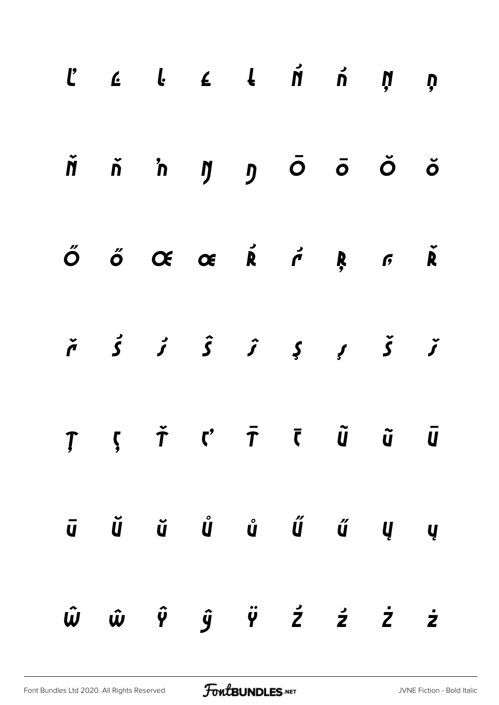|  | $\begin{array}{ccccccccccccccccccccc} C & & C & & C & & C & & A & & \acute{\textsf{M}} & & \acute{\textsf{M}} & & \acute{\textsf{M}} & & \acute{\textsf{M}} & & \acute{\textsf{Q}} \end{array}$             |  |  |  |
|--|-------------------------------------------------------------------------------------------------------------------------------------------------------------------------------------------------------------|--|--|--|
|  | Ňň 'n ŋ ŋ Ō Ō Ŏ Ŏ                                                                                                                                                                                           |  |  |  |
|  | $\tilde{O}$ $\tilde{O}$ $\tilde{O}$ $\tilde{O}$ $\tilde{R}$ $\tilde{R}$ $\tilde{R}$ $\tilde{R}$ $\tilde{R}$ $\tilde{R}$                                                                                     |  |  |  |
|  | $\check{r}$ $\acute{S}$ $\acute{J}$ $\hat{S}$ $\acute{J}$ $\acute{S}$ $\acute{J}$                                                                                                                           |  |  |  |
|  | $T \quad , \quad \check{T} \quad C \quad \bar{T} \quad \bar{C} \quad \tilde{u} \quad \tilde{u} \quad \bar{u}$                                                                                               |  |  |  |
|  | $\bar{u}$ $\tilde{u}$ $\tilde{u}$ $\tilde{u}$ $\tilde{u}$ $\tilde{u}$ $\tilde{u}$ $\tilde{u}$ $\tilde{u}$                                                                                                   |  |  |  |
|  | $\hat{w} \hspace{0.2cm} \hat{w} \hspace{0.2cm} \hat{\gamma} \hspace{0.2cm} \hat{y} \hspace{0.2cm} \hat{\gamma} \hspace{0.2cm} \hat{z} \hspace{0.2cm} \hat{z} \hspace{0.2cm} \hat{z} \hspace{0.2cm} \hat{z}$ |  |  |  |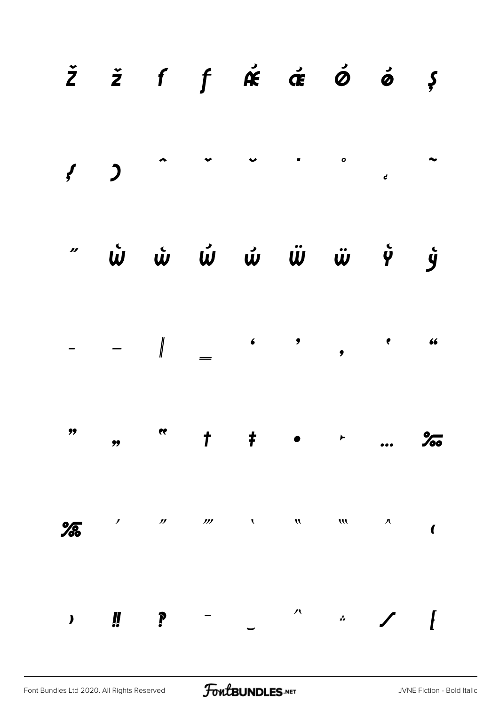|               |                            |                            | $\check{z}$ $\check{z}$ f $\oint$ $\check{\mathfrak{K}}$ $\check{\mathfrak{K}}$ $\check{\mathfrak{G}}$ $\check{\mathfrak{G}}$ $\check{\mathfrak{G}}$ |                                                                                                                                                                                                                                                                                               |                       |                        |                         |
|---------------|----------------------------|----------------------------|------------------------------------------------------------------------------------------------------------------------------------------------------|-----------------------------------------------------------------------------------------------------------------------------------------------------------------------------------------------------------------------------------------------------------------------------------------------|-----------------------|------------------------|-------------------------|
|               |                            |                            |                                                                                                                                                      |                                                                                                                                                                                                                                                                                               |                       |                        |                         |
|               |                            |                            | " ພໍ ພໍ ພໍ ພໍ ພໍ ພໍ ຈຸ່ງ                                                                                                                             |                                                                                                                                                                                                                                                                                               |                       |                        |                         |
|               |                            |                            |                                                                                                                                                      |                                                                                                                                                                                                                                                                                               |                       |                        |                         |
|               |                            |                            |                                                                                                                                                      |                                                                                                                                                                                                                                                                                               | $\blacktriangleright$ |                        |                         |
| $\frac{9}{6}$ | $\boldsymbol{\mathscr{I}}$ | $\boldsymbol{\mathcal{D}}$ |                                                                                                                                                      | $\frac{1}{2}$ and $\frac{1}{2}$ and $\frac{1}{2}$ and $\frac{1}{2}$ and $\frac{1}{2}$ and $\frac{1}{2}$ and $\frac{1}{2}$ and $\frac{1}{2}$ and $\frac{1}{2}$ and $\frac{1}{2}$ and $\frac{1}{2}$ and $\frac{1}{2}$ and $\frac{1}{2}$ and $\frac{1}{2}$ and $\frac{1}{2}$ and $\frac{1}{2}$ a |                       | $\boldsymbol{\Lambda}$ | $\overline{\mathbf{C}}$ |
|               | li.                        |                            |                                                                                                                                                      | 八                                                                                                                                                                                                                                                                                             | $\ddot{*}$            |                        |                         |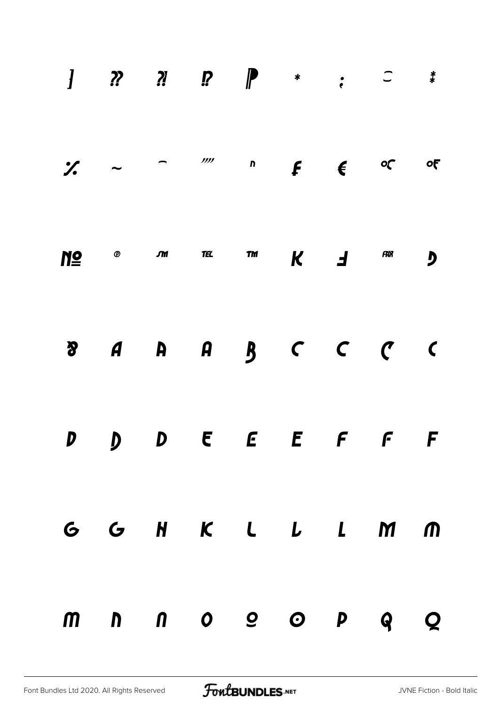|  |  | $\frac{1}{2}$ , $\frac{1}{2}$ , $\frac{1}{2}$ , $\frac{1}{2}$ , $\frac{1}{2}$ , $\frac{1}{2}$ , $\frac{1}{2}$ , $\frac{1}{2}$ , $\frac{1}{2}$ , $\frac{1}{2}$ , $\frac{1}{2}$ , $\frac{1}{2}$ , $\frac{1}{2}$ , $\frac{1}{2}$ , $\frac{1}{2}$ , $\frac{1}{2}$ , $\frac{1}{2}$ , $\frac{1}{2}$ , $\frac{1$                                                                                                                                    |  |                         |
|--|--|----------------------------------------------------------------------------------------------------------------------------------------------------------------------------------------------------------------------------------------------------------------------------------------------------------------------------------------------------------------------------------------------------------------------------------------------|--|-------------------------|
|  |  | $N\mathbf{P}$ $\mathbf{P}$ $\mathbf{P}$ $\mathbf{P}$ $\mathbf{P}$ $\mathbf{P}$ $\mathbf{P}$ $\mathbf{P}$ $\mathbf{P}$ $\mathbf{P}$ $\mathbf{P}$ $\mathbf{P}$ $\mathbf{P}$ $\mathbf{P}$ $\mathbf{P}$ $\mathbf{P}$ $\mathbf{P}$ $\mathbf{P}$ $\mathbf{P}$ $\mathbf{P}$ $\mathbf{P}$ $\mathbf{P}$ $\mathbf{P}$ $\mathbf{P}$ $\mathbf$                                                                                                           |  | $\overline{\mathbf{y}}$ |
|  |  | $\begin{array}{ccccccccccccccccccccccccc}\n\mathbf{3} & \mathbf{4} & \mathbf{4} & \mathbf{5} & \mathbf{6} & \mathbf{7} & \mathbf{8} & \mathbf{8} & \mathbf{9} & \mathbf{1} & \mathbf{1} & \mathbf{1} & \mathbf{1} & \mathbf{1} & \mathbf{1} & \mathbf{1} & \mathbf{1} & \mathbf{1} & \mathbf{1} & \mathbf{1} & \mathbf{1} & \mathbf{1} & \mathbf{1} & \mathbf{1} & \mathbf{1} & \mathbf{1} & \mathbf{1} & \mathbf{1} & \mathbf{1} & \mathbf$ |  |                         |
|  |  | D D D E E E F F F                                                                                                                                                                                                                                                                                                                                                                                                                            |  |                         |
|  |  | G G H K L L L M M                                                                                                                                                                                                                                                                                                                                                                                                                            |  |                         |
|  |  | m n n o o o p q Q                                                                                                                                                                                                                                                                                                                                                                                                                            |  |                         |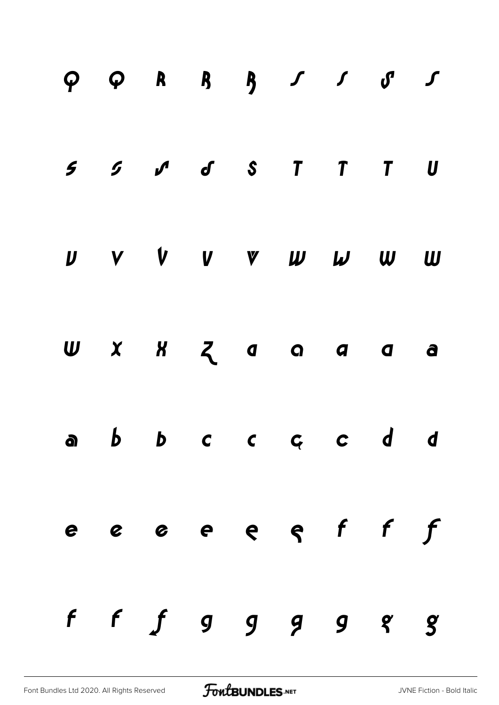|  | $\begin{array}{cccccccccccccc} 5 & 5 & \mathcal{S} & \mathcal{N} & \mathcal{S} & \mathcal{S} & \mathcal{S} & \mathcal{T} & \mathcal{T} & \mathcal{T} & \mathcal{U} \end{array}$ |  |  |  |
|--|---------------------------------------------------------------------------------------------------------------------------------------------------------------------------------|--|--|--|
|  | $U$ v $V$ v $V$ $W$ $W$ $W$ $W$                                                                                                                                                 |  |  |  |
|  | $U$ $X$ $X$ $Z$ $9$ $9$ $9$ $9$ $9$ $9$                                                                                                                                         |  |  |  |
|  | abbccccdd                                                                                                                                                                       |  |  |  |
|  | e e e e e e f f f                                                                                                                                                               |  |  |  |
|  | ff $f$ $g$ $g$ $g$ $g$ $g$                                                                                                                                                      |  |  |  |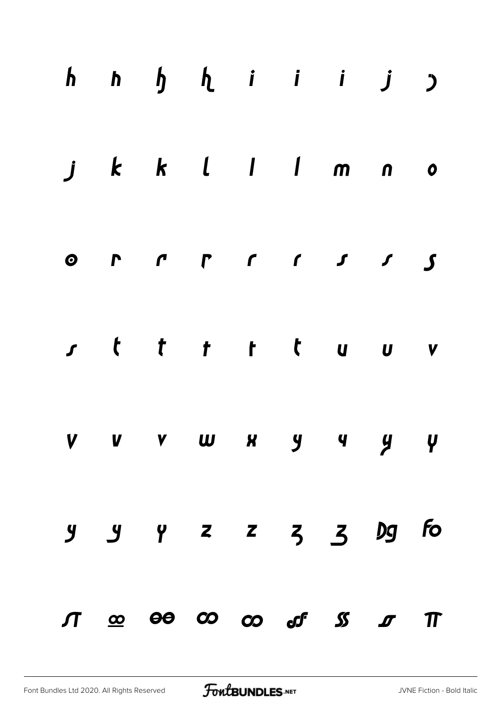|  | $h$ $h$ $h$ $h$ $i$ $i$ $j$ $j$                                                  |  |  |  |
|--|----------------------------------------------------------------------------------|--|--|--|
|  | j k k l l l m n o                                                                |  |  |  |
|  |                                                                                  |  |  |  |
|  | sttttttuuv                                                                       |  |  |  |
|  | V V V W X Y Y Y Y                                                                |  |  |  |
|  | $9$ $9$ $2$ $2$ $3$ $3$ $9$ fo                                                   |  |  |  |
|  | $\pi$ $\infty$ $\infty$ $\infty$ $\infty$ $\infty$ $\infty$ $\infty$ $\pi$ $\pi$ |  |  |  |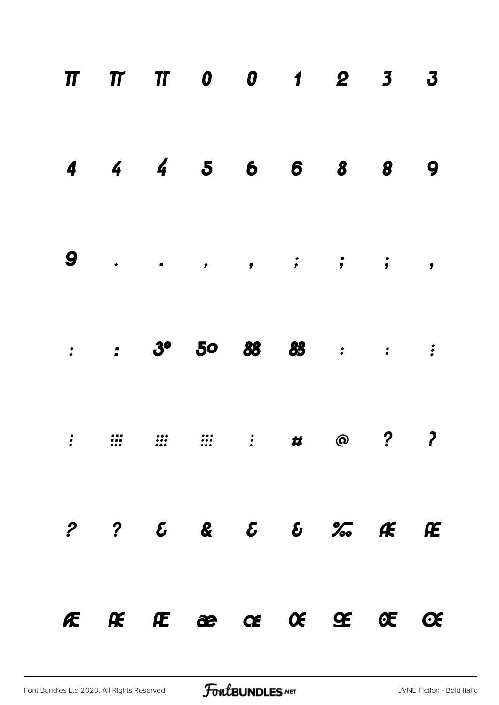|  | FERECCC GECEC                                                                                                                                                                                                                                                                                                                                                                                                                           |  |  |   |
|--|-----------------------------------------------------------------------------------------------------------------------------------------------------------------------------------------------------------------------------------------------------------------------------------------------------------------------------------------------------------------------------------------------------------------------------------------|--|--|---|
|  | $\begin{array}{cccccccccccccccccc} \textbf{?} & \textbf{?} & \textbf{c} & \textbf{c} & \textbf{c} & \textbf{c} & \textbf{c} & \textbf{c} & \textbf{c} & \textbf{c} & \textbf{c} & \textbf{c} & \textbf{c} & \textbf{c} & \textbf{c} & \textbf{c} & \textbf{c} & \textbf{c} & \textbf{c} & \textbf{c} & \textbf{c} & \textbf{c} & \textbf{c} & \textbf{c} & \textbf{c} & \textbf{c} & \textbf{c} & \textbf{c} & \textbf{c} & \textbf{c}$ |  |  |   |
|  | $\vdots$ $\cdots$ $\cdots$ $\cdots$ $\vdots$ $\qquad \qquad \mathbf{\#}$ 0 ? ?                                                                                                                                                                                                                                                                                                                                                          |  |  |   |
|  | $\therefore$ $3^{\circ}$ $5^{\circ}$ $88$ $88$ $\therefore$ $\therefore$                                                                                                                                                                                                                                                                                                                                                                |  |  |   |
|  | $9 \t\t . \t\t . \t\t . \t\t , \t\t , \t\t ; \t\t ; \t\t ; \t\t ,$                                                                                                                                                                                                                                                                                                                                                                      |  |  |   |
|  | 4 4 4 5 6 6 8 8                                                                                                                                                                                                                                                                                                                                                                                                                         |  |  | 9 |
|  | $\begin{array}{cccccccccccccccccc} \Pi & \Pi & \Pi & \Pi & 0 & 0 & 0 & 1 & 2 & 3 & 3 \end{array}$                                                                                                                                                                                                                                                                                                                                       |  |  |   |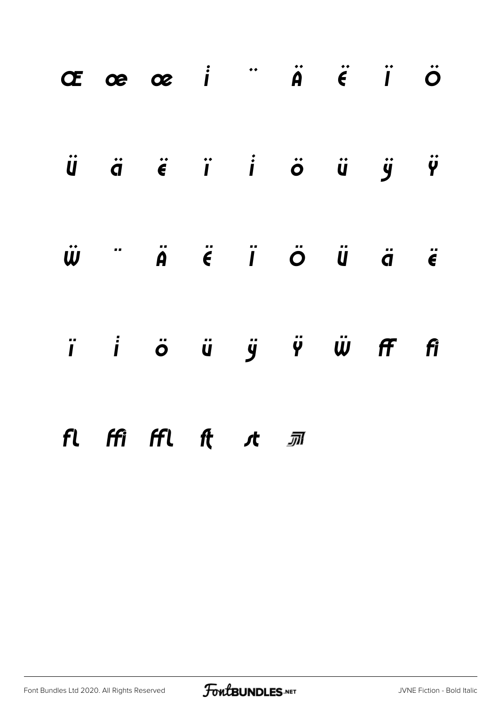|  | Œœœ i "Ä Ë Ï Ö                                                    |  |  |  |
|--|-------------------------------------------------------------------|--|--|--|
|  | Ü ä ë ï i ö ü ÿ Ÿ                                                 |  |  |  |
|  | $\ddot{w}$ $\ddot{a}$ $\ddot{a}$ $\ddot{c}$ $\ddot{a}$ $\ddot{c}$ |  |  |  |
|  | ï i ö ü ÿ Ÿ Ѿ Ff fi                                               |  |  |  |
|  | fl ffi ffl ft <i>s</i> t <i>s</i> m                               |  |  |  |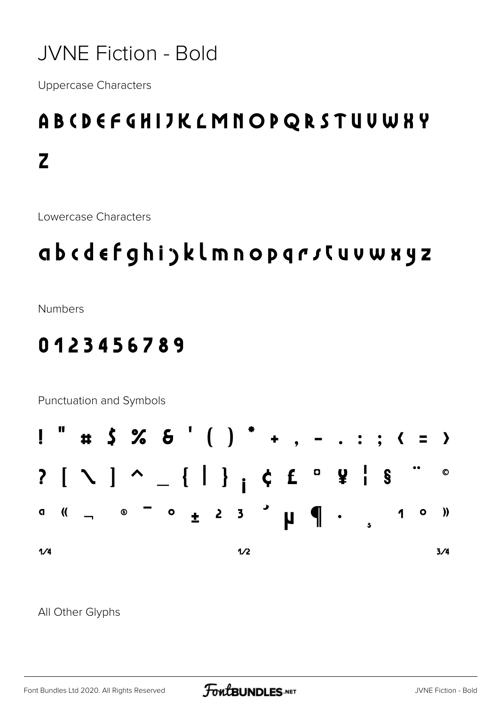#### **JVNE Fiction - Bold**

**Uppercase Characters** 

## ABCDEFGHIJKLMNOPQRSTUUWKY  $\mathbf{Z}$

Lowercase Characters

### abcdefghijklmnopqrsCuvwxyz

**Numbers** 

#### 0123456789

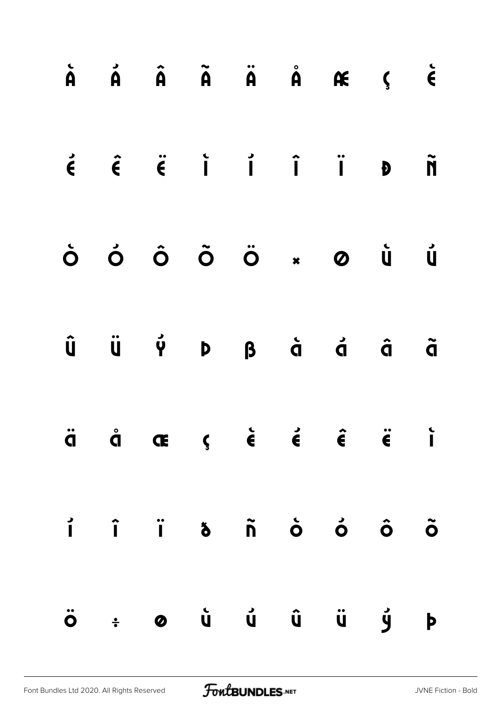|                      |  |  | $\dot{A}$ $\dot{A}$ $\ddot{A}$ $\ddot{A}$ $\ddot{A}$ $\dot{A}$ $\dot{C}$ $\ddot{C}$                                                                                                                           |  |
|----------------------|--|--|---------------------------------------------------------------------------------------------------------------------------------------------------------------------------------------------------------------|--|
|                      |  |  | $\acute{\epsilon}$ $\acute{\epsilon}$ $\acute{\epsilon}$ $\acute{i}$ $\acute{i}$ $\acute{i}$ $\acute{j}$ $\acute{j}$ $\acute{j}$ $\acute{j}$ $\acute{j}$                                                      |  |
|                      |  |  | Ò Ó Ô Õ Ö × Ø Ù Ú                                                                                                                                                                                             |  |
|                      |  |  | $\begin{matrix} \hat{\mathsf{U}} & \hat{\mathsf{U}} & \hat{\mathsf{V}} & \hat{\mathsf{V}} & \mathsf{D} & \mathsf{B} & \hat{\mathsf{G}} & \hat{\mathsf{G}} & \hat{\mathsf{G}} & \hat{\mathsf{G}} \end{matrix}$ |  |
|                      |  |  | $\ddot{q}$ $\dot{q}$ $\alpha$ $\zeta$ $\dot{\epsilon}$ $\dot{\epsilon}$ $\dot{\epsilon}$ $\ddot{\epsilon}$ $\ddot{\epsilon}$ i                                                                                |  |
| $\overrightarrow{1}$ |  |  |                                                                                                                                                                                                               |  |
|                      |  |  | Ö ÷ Ø Ù Ù Û Ü Ý Þ                                                                                                                                                                                             |  |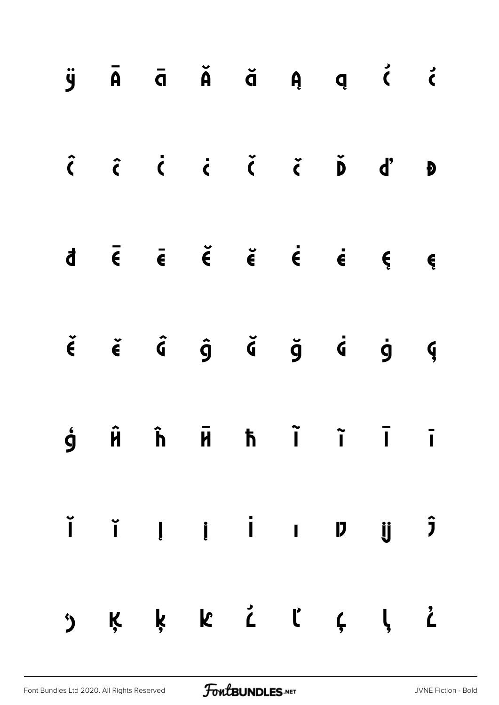|  |  |  | $\ddot{y}$ $\ddot{A}$ $\ddot{a}$ $\ddot{A}$ $\ddot{a}$ $\ddot{a}$ $\ddot{a}$ $\ddot{a}$ $\ddot{a}$                                                                                                                                                                                                                                                                                                                                                |  |
|--|--|--|---------------------------------------------------------------------------------------------------------------------------------------------------------------------------------------------------------------------------------------------------------------------------------------------------------------------------------------------------------------------------------------------------------------------------------------------------|--|
|  |  |  | $\begin{array}{ccccccccccccccccc} \hat{c} & \hat{c} & \hat{c} & \hat{c} & \hat{c} & \hat{c} & \hat{c} & \hat{d} & \hat{d} & \hat{d} & \hat{d} & \hat{d} & \hat{d} & \hat{d} & \hat{d} & \hat{d} & \hat{d} & \hat{d} & \hat{d} & \hat{d} & \hat{d} & \hat{d} & \hat{d} & \hat{d} & \hat{d} & \hat{d} & \hat{d} & \hat{d} & \hat{d} & \hat{d} & \hat{d} & \hat{d} & \hat{d} & \hat{d} & \hat{d}$                                                    |  |
|  |  |  | $d \overline{\epsilon}$ $\overline{\epsilon}$ $\overline{\epsilon}$ $\overline{\epsilon}$ $\overline{\epsilon}$ $\overline{\epsilon}$ $\overline{\epsilon}$ $\overline{\epsilon}$ $\overline{\epsilon}$ $\overline{\epsilon}$ $\overline{\epsilon}$ $\overline{\epsilon}$ $\overline{\epsilon}$ $\overline{\epsilon}$ $\overline{\epsilon}$ $\overline{\epsilon}$                                                                                 |  |
|  |  |  | $\check{\epsilon}$ $\check{\epsilon}$ $\hat{\zeta}$ $\hat{g}$ $\check{\zeta}$ $\check{g}$ $\check{g}$ $\check{g}$ $\check{g}$                                                                                                                                                                                                                                                                                                                     |  |
|  |  |  | $\dot{9}$ $\hat{H}$ $\dot{h}$ $\bar{H}$ $\dot{h}$ $\ddot{I}$ $\ddot{I}$ $\ddot{I}$                                                                                                                                                                                                                                                                                                                                                                |  |
|  |  |  | $\begin{array}{ccccccccccccccccc} \check{\mathsf{I}} & \check{\mathsf{I}} & \mathsf{I} & \mathsf{I} & \mathsf{I} & \mathsf{I} & \mathsf{I} & \mathsf{I} & \mathsf{I} & \mathsf{I} & \mathsf{I} & \mathsf{I} & \mathsf{I} & \mathsf{I} & \mathsf{I} & \mathsf{I} & \mathsf{I} & \mathsf{I} & \mathsf{I} & \mathsf{I} & \mathsf{I} & \mathsf{I} & \mathsf{I} & \mathsf{I} & \mathsf{I} & \mathsf{I} & \mathsf{I} & \mathsf{I} & \mathsf{I} & \math$ |  |
|  |  |  | ") K K K Č ľ Ç Į Č                                                                                                                                                                                                                                                                                                                                                                                                                                |  |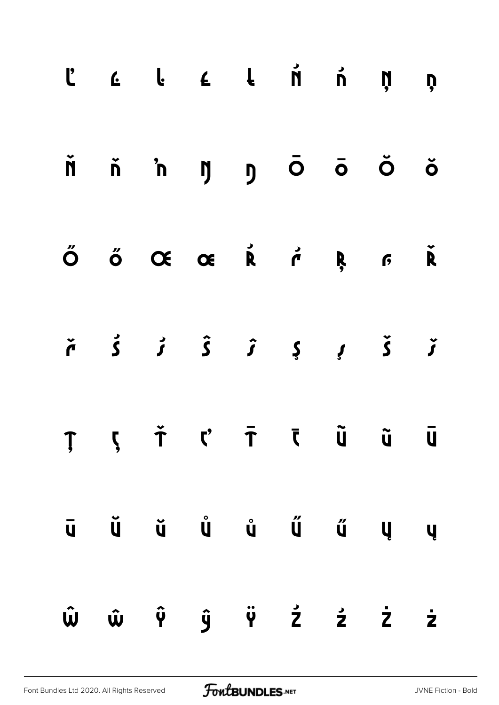|  | $\begin{array}{ccccccccccccccccccccc} C & C & C & C & C & C & \end{array} \hspace{1.5cm} \begin{array}{ccccccccccccccccc} \begin{array}{ccccccccccccccccc} C & C & C & C & C & \end{array} \end{array} \hspace{1.5cm} \begin{array}{ccccccccccccccccc} \begin{array}{ccccccccccccccccc} C & C & C & C & C & \end{array} \end{array} \hspace{1.5cm} \begin{array}{ccccccccccccccccc} \begin{array}{ccccccccccccccccc} C & C & C & C & C & \end{array} \end{array} \hspace{1.5cm} \begin{array}{ccccccccccccccccc} \begin{array}{ccccccccccccccccc} C & C & C & C$ |  |  |  |
|--|------------------------------------------------------------------------------------------------------------------------------------------------------------------------------------------------------------------------------------------------------------------------------------------------------------------------------------------------------------------------------------------------------------------------------------------------------------------------------------------------------------------------------------------------------------------|--|--|--|
|  | ň ň 'n ŋ ŋ Ō Ō Ŏ Ŏ                                                                                                                                                                                                                                                                                                                                                                                                                                                                                                                                               |  |  |  |
|  | ŐŐŒŒŘŕŖFŘ                                                                                                                                                                                                                                                                                                                                                                                                                                                                                                                                                        |  |  |  |
|  | $\check{r}$ $\check{s}$ $\check{t}$ $\hat{s}$ $\hat{i}$ $\check{t}$ $\check{t}$ $\check{t}$ $\check{t}$                                                                                                                                                                                                                                                                                                                                                                                                                                                          |  |  |  |
|  | ŢļŤ ('ŦĪŨŨŪ                                                                                                                                                                                                                                                                                                                                                                                                                                                                                                                                                      |  |  |  |
|  | $\begin{array}{ccccccccccccccccc} \bar{\mathbf{u}} & \bar{\mathbf{u}} & \bar{\mathbf{u}} & \bar{\mathbf{u}} & \bar{\mathbf{u}} & \bar{\mathbf{u}} & \bar{\mathbf{u}} & \bar{\mathbf{u}} & \bar{\mathbf{u}} & \bar{\mathbf{u}} & \bar{\mathbf{u}} & \bar{\mathbf{u}} & \bar{\mathbf{u}} & \bar{\mathbf{u}} & \bar{\mathbf{u}} & \bar{\mathbf{u}} & \bar{\mathbf{u}} & \bar{\mathbf{u}} & \bar{\mathbf{u}} & \bar{\mathbf{u}} & \bar{\mathbf{u}} & \bar{\mathbf{u}} & \bar{\mathbf{u}} & \bar$                                                                     |  |  |  |
|  | Ŵ ŵ Ŷ ŷ Ÿ Ź ź Ż ż                                                                                                                                                                                                                                                                                                                                                                                                                                                                                                                                                |  |  |  |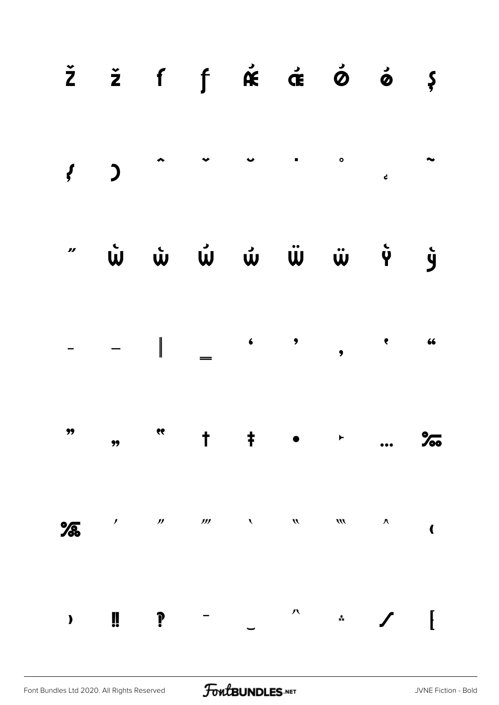|   |                            |                     |                                                               |               | $\check{z}$ $\check{z}$ f $\uparrow$ $\hat{\kappa}$ $\check{\sigma}$ $\check{\phi}$ $\check{\phi}$ $\varphi$                                                                                                                                                                                                                                                                                                                                                       |                  |                        |                         |
|---|----------------------------|---------------------|---------------------------------------------------------------|---------------|--------------------------------------------------------------------------------------------------------------------------------------------------------------------------------------------------------------------------------------------------------------------------------------------------------------------------------------------------------------------------------------------------------------------------------------------------------------------|------------------|------------------------|-------------------------|
|   |                            |                     |                                                               |               |                                                                                                                                                                                                                                                                                                                                                                                                                                                                    |                  |                        |                         |
|   |                            |                     |                                                               |               |                                                                                                                                                                                                                                                                                                                                                                                                                                                                    |                  |                        |                         |
|   |                            |                     |                                                               |               | $\begin{array}{ccccccccccc} - & & - & & \Big  & & & \Big  & & & \Big  & & & \Big  & & & \Big  & & & \Big  & & & \Big  & & & \Big  & & & \Big  & & & \Big  & & & \Big  & & & \Big  & & & \Big  & & & \Big  & & & \Big  & & & \Big  & & & \Big  & & & \Big  & & & \Big  & & & \Big  & & & \Big  & & & \Big  & & & \Big  & & & \Big  & & & \Big  & & & \Big  & & & \Big  & & & \Big  & & & \Big  & & & \Big  & & & \Big  & & & \Big  & & & \Big  & & & \Big  & & & \$ |                  |                        |                         |
|   |                            |                     | $\frac{1}{2}$ , $\frac{1}{2}$ , $\frac{1}{2}$ , $\frac{1}{2}$ |               |                                                                                                                                                                                                                                                                                                                                                                                                                                                                    |                  |                        | $\%$                    |
| % | $\boldsymbol{\mathcal{J}}$ | $\pmb{\mathcal{Y}}$ | $\boldsymbol{\mathcal{W}}$                                    | $\mathcal{L}$ | $\boldsymbol{\mathcal{D}}$                                                                                                                                                                                                                                                                                                                                                                                                                                         | $\boldsymbol{m}$ | $\boldsymbol{\Lambda}$ | $\overline{\mathbf{C}}$ |
|   | Ü                          |                     |                                                               |               | 八                                                                                                                                                                                                                                                                                                                                                                                                                                                                  | $\ddot{*}$       |                        | I                       |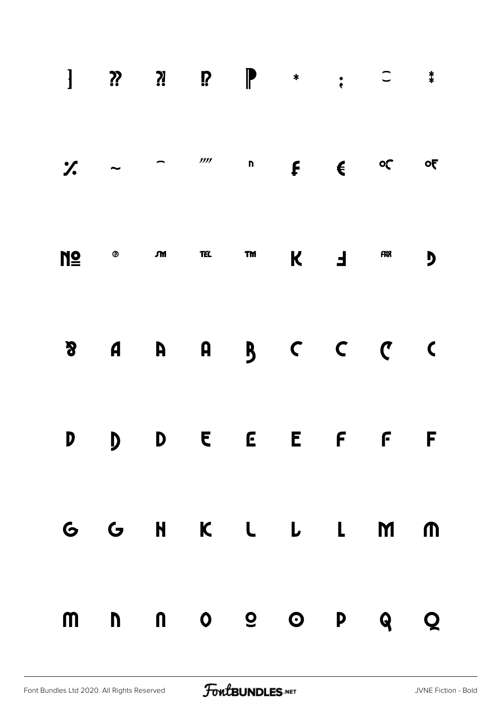| $\frac{1}{2}$ $\sim$ |                                                                           |  | $\overline{\phantom{a}}$ , $\overline{\phantom{a}}$ , $\overline{\phantom{a}}$ , $\overline{\phantom{a}}$ , $\overline{\phantom{a}}$ , $\overline{\phantom{a}}$ , $\overline{\phantom{a}}$ , $\overline{\phantom{a}}$ , $\overline{\phantom{a}}$ , $\overline{\phantom{a}}$ , $\overline{\phantom{a}}$ , $\overline{\phantom{a}}$ , $\overline{\phantom{a}}$ , $\overline{\phantom{a}}$ , $\overline{\phantom{a}}$ , $\overline{\phantom{a}}$ |     |    | $\overline{\mathbf{c}}$ |
|----------------------|---------------------------------------------------------------------------|--|-----------------------------------------------------------------------------------------------------------------------------------------------------------------------------------------------------------------------------------------------------------------------------------------------------------------------------------------------------------------------------------------------------------------------------------------------|-----|----|-------------------------|
|                      | $M \subseteq \qquad \qquad \text{on} \qquad \text{etc.} \qquad \text{tm}$ |  |                                                                                                                                                                                                                                                                                                                                                                                                                                               | K F | fr | $\overline{\mathbf{D}}$ |
| $\boldsymbol{S}$     |                                                                           |  | A A A B C C C                                                                                                                                                                                                                                                                                                                                                                                                                                 |     |    | $\overline{\mathbf{C}}$ |
|                      |                                                                           |  | D D D E E E F F F                                                                                                                                                                                                                                                                                                                                                                                                                             |     |    |                         |
|                      |                                                                           |  | G G H K L L L M M                                                                                                                                                                                                                                                                                                                                                                                                                             |     |    |                         |
| $\mathsf{m}$         |                                                                           |  | nno o o p q                                                                                                                                                                                                                                                                                                                                                                                                                                   |     |    | Q                       |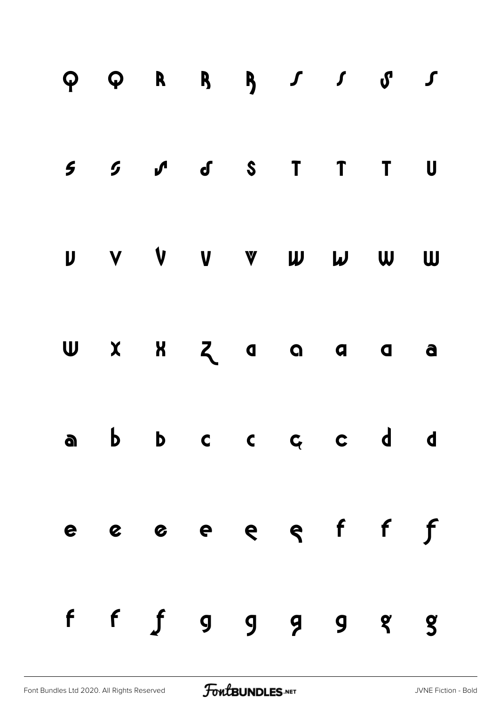|  | $Q Q R R R J J J J J J J$           |  |  |  |
|--|-------------------------------------|--|--|--|
|  | $5$ $5$ $J$ $J$ $S$ $T$ $T$ $T$ $U$ |  |  |  |
|  | U V V V V W W W W                   |  |  |  |
|  | $U$ $X$ $N$ $Z$ $a$ $a$ $a$ $a$     |  |  |  |
|  | abbccccdd                           |  |  |  |
|  | e e e e e e f f f                   |  |  |  |
|  | $f$ $f$ $g$ $g$ $g$ $g$ $g$         |  |  |  |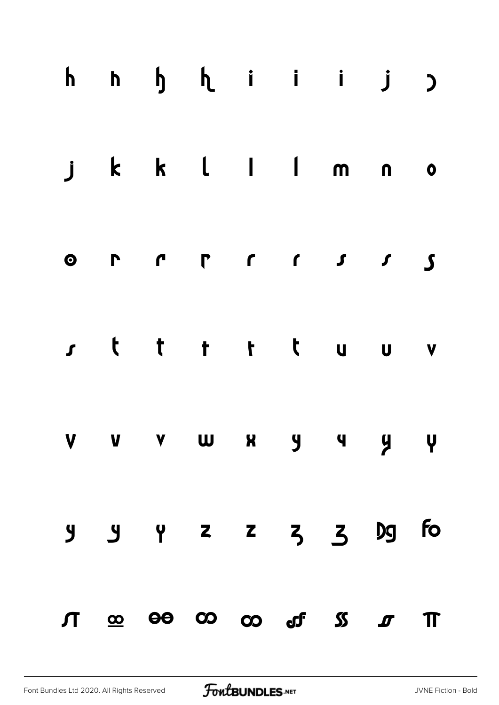|  | $h$ $h$ $h$ $i$ $i$ $j$ $j$                                                      |  |  |  |
|--|----------------------------------------------------------------------------------|--|--|--|
|  | jkklllmno                                                                        |  |  |  |
|  |                                                                                  |  |  |  |
|  | rtttttuuv                                                                        |  |  |  |
|  | V V V W X Y Y Y Y                                                                |  |  |  |
|  | y y y z z z z 3 Dg fo                                                            |  |  |  |
|  | $\pi$ $\infty$ $\infty$ $\infty$ $\infty$ $\infty$ $\infty$ $\infty$ $\pi$ $\pi$ |  |  |  |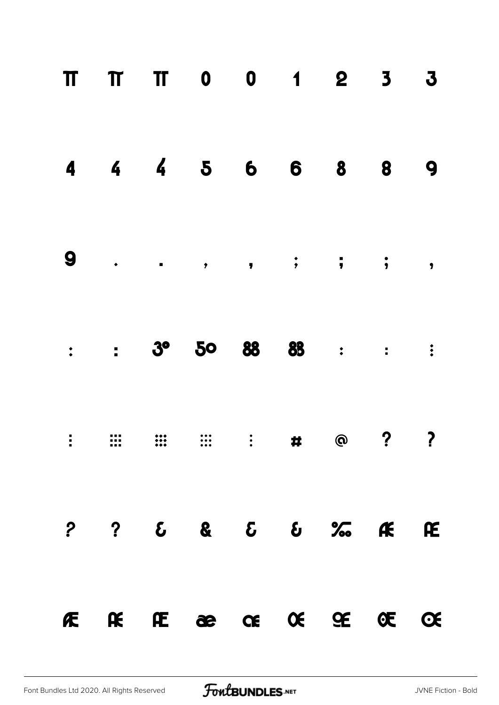|  | TT TT 0 0 1 2 3                                                                          |  |  | $\mathbf{3}$ |
|--|------------------------------------------------------------------------------------------|--|--|--------------|
|  | 4 4 4 5 6 6 8 8                                                                          |  |  | 9            |
|  |                                                                                          |  |  |              |
|  | 3° 50 88 88 : : :                                                                        |  |  |              |
|  |                                                                                          |  |  |              |
|  | $?  ?  \quad 6  \quad 8  \quad 5  \quad 6  \quad \%  \quad \textbf{K}  \quad \textbf{E}$ |  |  |              |
|  | FERECECECEC                                                                              |  |  |              |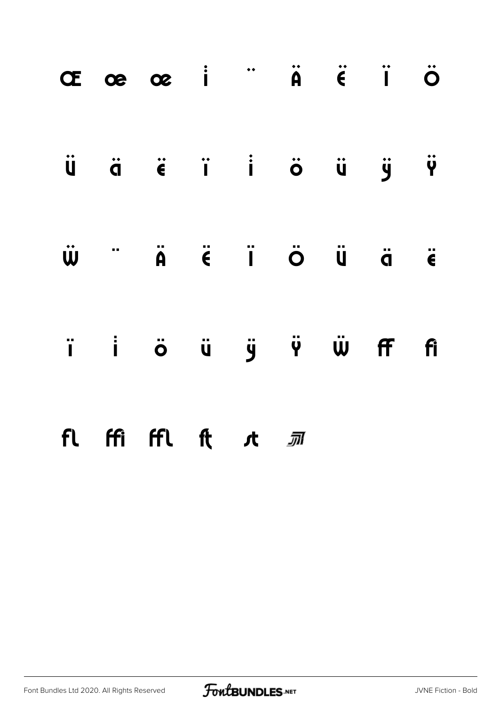|                     | Œœœ i "Ä Ë Ï Ö                      |  |  |  |
|---------------------|-------------------------------------|--|--|--|
|                     | Ü ä ë ï i ö ü ÿ Ÿ                   |  |  |  |
| $\ddot{\mathbf{w}}$ |                                     |  |  |  |
|                     | i i ö ü ÿ Ÿ Ŵ Ff fi                 |  |  |  |
|                     | fl ffi ffl ft <i>s</i> t <i>s</i> m |  |  |  |

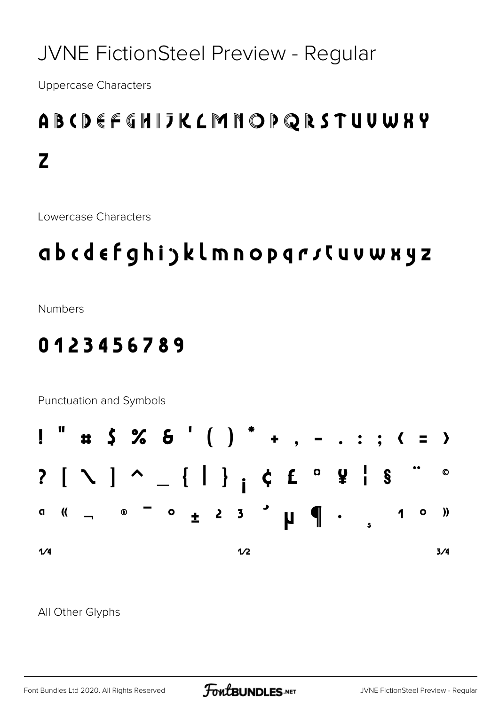### **JVNE FictionSteel Preview - Regular**

**Uppercase Characters** 

## ABCDEFCHIJKLMNOPQRSTUUWKY  $\mathbf{Z}$

Lowercase Characters

## ab cdefghi jklmnop qrsCuvwxyz

**Numbers** 

#### 0123456789

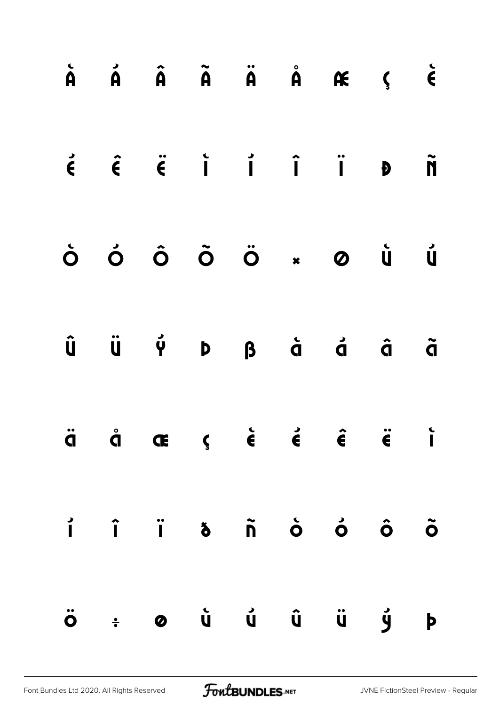|  |  |  | $\dot{A}$ $\dot{A}$ $\ddot{A}$ $\ddot{A}$ $\dot{A}$ $\dot{A}$ $\dot{A}$ $\dot{C}$                                                                                                                             |  |
|--|--|--|---------------------------------------------------------------------------------------------------------------------------------------------------------------------------------------------------------------|--|
|  |  |  | $\acute{\epsilon}$ $\acute{\epsilon}$ $\acute{\epsilon}$ $\acute{i}$ $\acute{i}$ $\acute{i}$ $\acute{j}$ $\acute{j}$ $\acute{j}$ $\acute{j}$ $\acute{j}$                                                      |  |
|  |  |  | Ò Ó Ô Õ Ö × Ø Ù Ú                                                                                                                                                                                             |  |
|  |  |  | $\begin{matrix} \hat{\mathsf{U}} & \hat{\mathsf{U}} & \hat{\mathsf{V}} & \hat{\mathsf{V}} & \mathsf{D} & \mathsf{B} & \hat{\mathsf{G}} & \hat{\mathsf{G}} & \hat{\mathsf{G}} & \hat{\mathsf{G}} \end{matrix}$ |  |
|  |  |  | $\ddot{q}$ $\dot{q}$ $\alpha$ $\zeta$ $\dot{\epsilon}$ $\dot{\epsilon}$ $\dot{\epsilon}$ $\ddot{\epsilon}$ $\ddot{\epsilon}$ i                                                                                |  |
|  |  |  |                                                                                                                                                                                                               |  |
|  |  |  | Ö ÷ Ø Ù Ù Û Ü Ý Þ                                                                                                                                                                                             |  |

[Font Bundles Ltd 2020. All Rights Reserved](https://fontbundles.net/) **FoutBUNDLES.NET** [JVNE FictionSteel Preview - Regular](https://fontbundles.net/)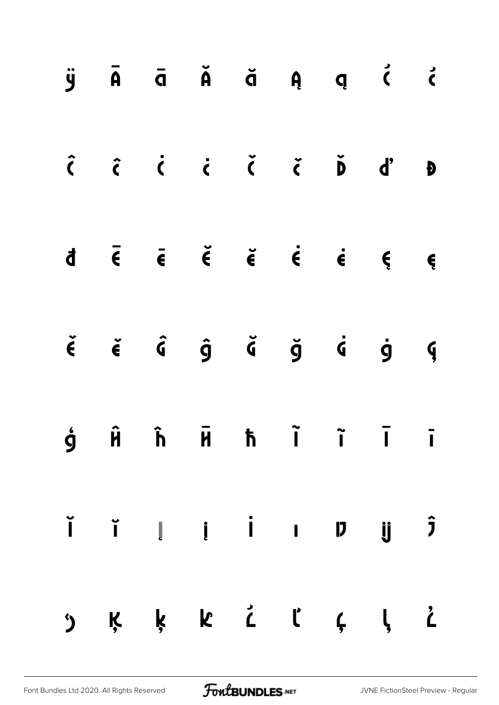|                |  |  |  | $\ddot{y}$ $\ddot{A}$ $\ddot{a}$ $\ddot{A}$ $\ddot{a}$ $\ddot{a}$ $\ddot{a}$ $\ddot{a}$ $\ddot{a}$ $\ddot{a}$ $\ddot{a}$ $\ddot{a}$ $\ddot{a}$ $\ddot{a}$ $\ddot{a}$ $\ddot{a}$ $\ddot{a}$ $\ddot{a}$ $\ddot{a}$ $\ddot{a}$ $\ddot{a}$ $\ddot{a}$ $\ddot{a}$ $\ddot{a}$ $\ddot{$ |  |
|----------------|--|--|--|----------------------------------------------------------------------------------------------------------------------------------------------------------------------------------------------------------------------------------------------------------------------------------|--|
|                |  |  |  |                                                                                                                                                                                                                                                                                  |  |
|                |  |  |  | $d \quad \bar{\epsilon} \quad \bar{\epsilon} \quad \check{\epsilon} \quad \check{\epsilon} \quad \check{\epsilon} \quad \epsilon \quad \epsilon \quad \epsilon$                                                                                                                  |  |
|                |  |  |  | $\check{\epsilon}$ $\check{\epsilon}$ $\hat{\sigma}$ $\hat{g}$ $\check{\sigma}$ $\check{g}$ $\check{g}$ $\check{g}$ $\check{g}$                                                                                                                                                  |  |
|                |  |  |  | $\dot{9}$ $\dot{H}$ $\dot{h}$ $\ddot{H}$ $\dot{h}$ $\ddot{I}$ $\ddot{I}$ $\ddot{I}$                                                                                                                                                                                              |  |
|                |  |  |  | $\begin{array}{ccccccccccccccccc} \check{\textbf{I}} & \check{\textbf{I}} & \check{\textbf{I}} & \check{\textbf{I}} & \check{\textbf{I}} & \textbf{I} & \textbf{I} & \check{\textbf{I}} & \check{\textbf{J}} & \hat{\textbf{J}} & \end{array}$                                   |  |
| $\mathfrak{D}$ |  |  |  | Ķķk ČľÇļ Č                                                                                                                                                                                                                                                                       |  |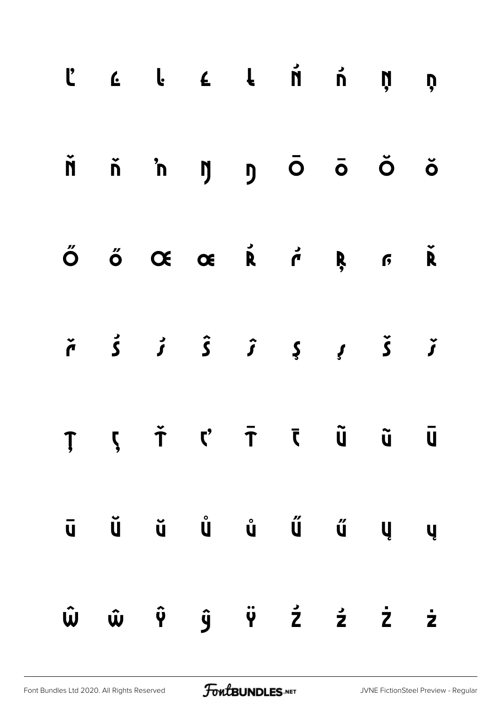|  |  | $\begin{array}{ccccccccccccccccccccc} C & C & C & C & C & C & \end{array} \hspace{1.5cm} \begin{array}{ccccccccccccccccc} \begin{array}{ccccccccccccccccc} C & C & C & C & C & \end{array} \end{array} \hspace{1.5cm} \begin{array}{ccccccccccccccccc} \begin{array}{ccccccccccccccccc} C & C & C & C & \end{array} \end{array} \hspace{1.5cm} \begin{array}{ccccccccccccccccc} \begin{array}{ccccccccccccccccc} C & C & C & C & \end{array} \end{array} \hspace{1.5cm} \begin{array}{ccccccccccccccccc} \begin{array}{ccccccccccccccccc} C & C & C & C & \end{$ |  |  |
|--|--|------------------------------------------------------------------------------------------------------------------------------------------------------------------------------------------------------------------------------------------------------------------------------------------------------------------------------------------------------------------------------------------------------------------------------------------------------------------------------------------------------------------------------------------------------------------|--|--|
|  |  | ň ň 'n ŋ ŋ Ō Ō Ŏ Ŏ                                                                                                                                                                                                                                                                                                                                                                                                                                                                                                                                               |  |  |
|  |  | ŐŐŒŒŘŕŖFŘ                                                                                                                                                                                                                                                                                                                                                                                                                                                                                                                                                        |  |  |
|  |  | $\check{r}$ $\check{s}$ $\check{t}$ $\check{t}$ $\check{t}$ $\check{t}$ $\check{t}$ $\check{t}$                                                                                                                                                                                                                                                                                                                                                                                                                                                                  |  |  |
|  |  | ŢļŤ ('ŦĪŨŨŪ                                                                                                                                                                                                                                                                                                                                                                                                                                                                                                                                                      |  |  |
|  |  | $\begin{array}{ccccccccccccccccc} \bar{\mathsf{u}} & \check{\mathsf{u}} & \check{\mathsf{u}} & \check{\mathsf{u}} & \check{\mathsf{u}} & \check{\mathsf{u}} & \check{\mathsf{u}} & \check{\mathsf{u}} & \check{\mathsf{u}} & \mathsf{u} & \mathsf{u} \end{array}$                                                                                                                                                                                                                                                                                                |  |  |
|  |  | Ŵ ŵ Ŷ ŷ Ÿ Ź ź Ż ż                                                                                                                                                                                                                                                                                                                                                                                                                                                                                                                                                |  |  |

[Font Bundles Ltd 2020. All Rights Reserved](https://fontbundles.net/) **FoutBUNDLES.NET** [JVNE FictionSteel Preview - Regular](https://fontbundles.net/)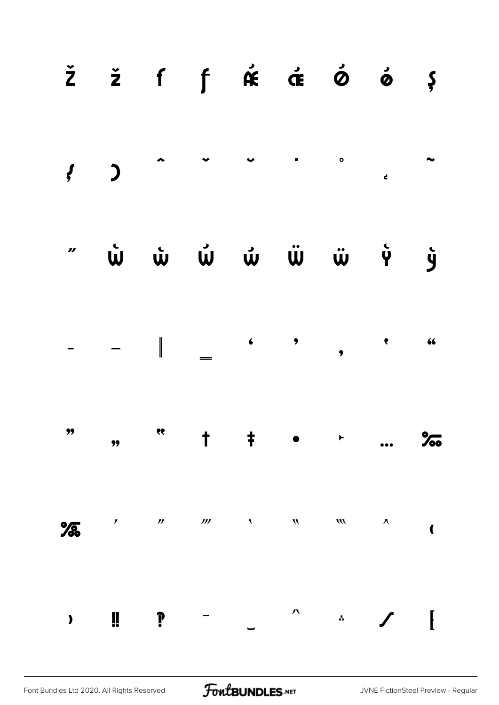|   |                     |                     |                                                               |                                                           |                            | $\check{z}$ $\check{z}$ f $\uparrow$ $\hat{\kappa}$ $\check{\sigma}$ $\check{\phi}$ $\check{\phi}$ $\varphi$ |                        |                         |
|---|---------------------|---------------------|---------------------------------------------------------------|-----------------------------------------------------------|----------------------------|--------------------------------------------------------------------------------------------------------------|------------------------|-------------------------|
|   |                     |                     |                                                               |                                                           |                            |                                                                                                              |                        |                         |
|   |                     |                     |                                                               |                                                           |                            |                                                                                                              |                        |                         |
|   |                     |                     |                                                               |                                                           |                            | $\begin{array}{ccccccccccc} - & & - & & \ & & & & \ & & & & - & & \ \end{array}$                             |                        |                         |
|   |                     |                     | $\frac{1}{2}$ , $\frac{1}{2}$ , $\frac{1}{2}$ , $\frac{1}{2}$ |                                                           |                            | $\blacktriangleright$                                                                                        |                        | $\frac{1}{60}$          |
| % | $\boldsymbol{\ell}$ | $\boldsymbol{\eta}$ | $\frac{1}{2}$                                                 | $\mathcal{L}^{\mathcal{L}}$ , $\mathcal{L}^{\mathcal{L}}$ | $\boldsymbol{\mathcal{W}}$ | $\boldsymbol{m}$                                                                                             | $\boldsymbol{\Lambda}$ | $\overline{\mathbf{C}}$ |
|   | Ü                   | ?                   |                                                               |                                                           | 八                          | $\ddot{*}$                                                                                                   |                        |                         |

FontBUNDLES.NET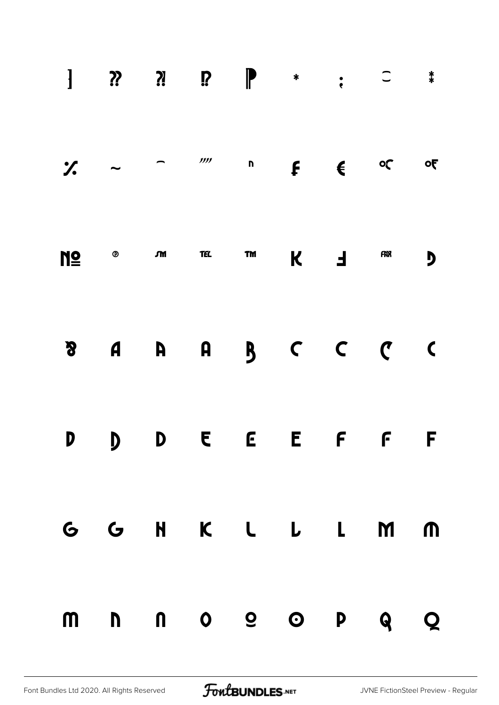| $\frac{1}{2}$ $\sim$ |                                                              |  | $\overline{a}$ $\overline{a}$ $\overline{a}$ $\overline{a}$ $\overline{a}$ $\overline{a}$ $\overline{a}$ $\overline{a}$ $\overline{a}$ $\overline{a}$ $\overline{a}$ $\overline{a}$ $\overline{a}$ $\overline{a}$ $\overline{a}$ $\overline{a}$ $\overline{a}$ $\overline{a}$ $\overline{a}$ $\overline{a}$ $\overline{a}$ $\overline{a}$ $\overline{a}$ $\overline{a}$ $\overline{$ |     |     | $\overline{\mathbf{c}}$ |
|----------------------|--------------------------------------------------------------|--|--------------------------------------------------------------------------------------------------------------------------------------------------------------------------------------------------------------------------------------------------------------------------------------------------------------------------------------------------------------------------------------|-----|-----|-------------------------|
|                      | $M \subseteq \mathbb{R}$ of the set of $M$ is the set of $M$ |  |                                                                                                                                                                                                                                                                                                                                                                                      | K F | FRN | Ŋ                       |
| $\boldsymbol{S}$     |                                                              |  | A A A B C C C                                                                                                                                                                                                                                                                                                                                                                        |     |     | $\overline{\mathbf{C}}$ |
|                      |                                                              |  | D D D E E E F F F                                                                                                                                                                                                                                                                                                                                                                    |     |     |                         |
|                      |                                                              |  | G G H K L L L M M                                                                                                                                                                                                                                                                                                                                                                    |     |     |                         |
|                      |                                                              |  | mnnoe op q q                                                                                                                                                                                                                                                                                                                                                                         |     |     |                         |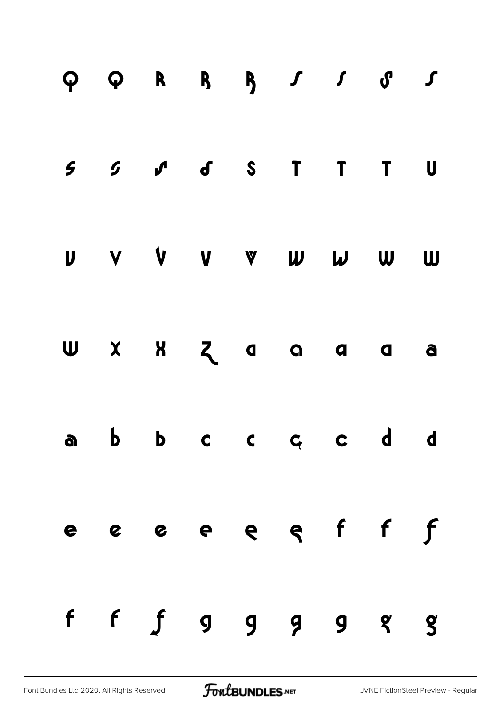|  | $5$ $5$ $J$ $J$ $S$ $T$ $T$ $U$ |  |  |  |
|--|---------------------------------|--|--|--|
|  | U V V V V W W W W               |  |  |  |
|  | UXXZaaaa                        |  |  |  |
|  | abbccccdd                       |  |  |  |
|  | e e e e e e f f f               |  |  |  |
|  | $f$ $f$ $g$ $g$ $g$ $g$ $g$ $g$ |  |  |  |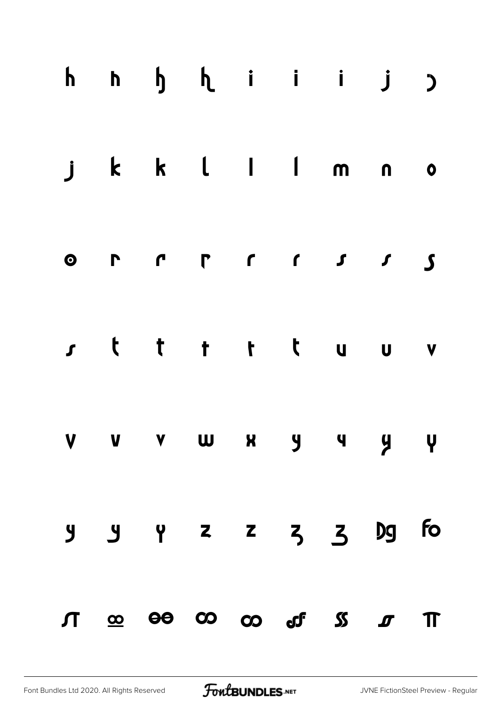|  | hh hh hi i j j                                           |  |  |  |
|--|----------------------------------------------------------|--|--|--|
|  | j k k l l m n o                                          |  |  |  |
|  |                                                          |  |  |  |
|  | rtt tt tuuv                                              |  |  |  |
|  | V V V W X Y Y Y Y                                        |  |  |  |
|  | $9$ $9$ $2$ $2$ $3$ $3$ $9$ fo                           |  |  |  |
|  | $\pi$ $\infty$ $\infty$ $\infty$ $\infty$ of $\pi$ $\pi$ |  |  |  |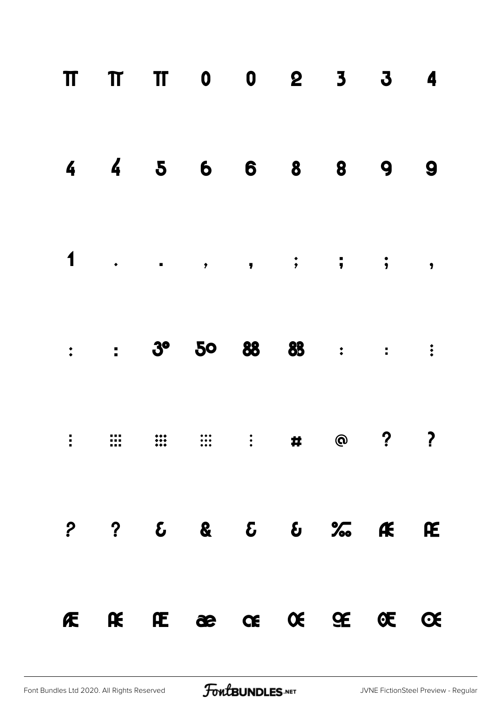|  | FERECECECEC                                                                                                                      |  |  |  |
|--|----------------------------------------------------------------------------------------------------------------------------------|--|--|--|
|  | $?  ?  \mathcal{E}  \&  \mathcal{E}  \&  \mathcal{E}  \&  \mathcal{K}  \mathcal{K}  \mathcal{E}$                                 |  |  |  |
|  | $\vdots \quad \vdots \quad \vdots \quad \vdots \quad \vdots \quad \vdots \quad \vdots \quad \bullet \quad \circ \quad ? \quad ?$ |  |  |  |
|  | $\therefore$ 3° 50 88 88 : : :                                                                                                   |  |  |  |
|  |                                                                                                                                  |  |  |  |
|  | 4 4 5 6 6 8 8 9 9                                                                                                                |  |  |  |
|  | TT TT TO 0 2 3 3 4                                                                                                               |  |  |  |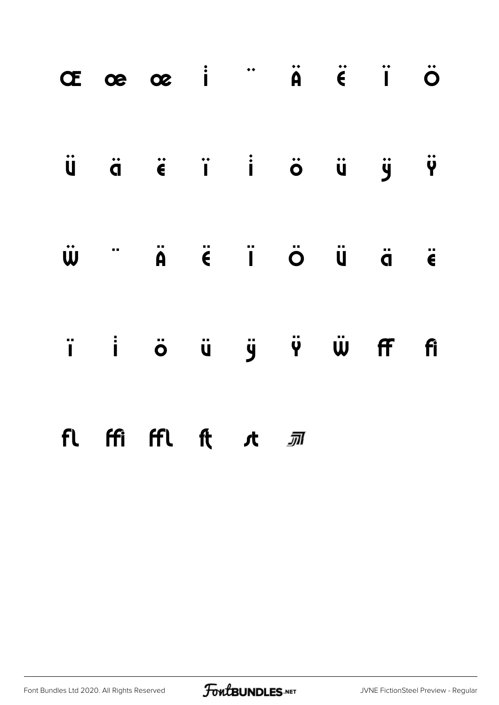|  | Œœœ i "Ä Ë Ï Ö                                                                                                                                                                        |  |  |  |
|--|---------------------------------------------------------------------------------------------------------------------------------------------------------------------------------------|--|--|--|
|  | Ü ä ë ï i ö ü ÿ Ÿ                                                                                                                                                                     |  |  |  |
|  | $\ddot{\mathbf{w}}$ " $\ddot{\mathbf{a}}$ $\ddot{\mathbf{c}}$ $\ddot{\mathbf{q}}$ $\ddot{\mathbf{a}}$ $\ddot{\mathbf{c}}$ $\ddot{\mathbf{q}}$ $\ddot{\mathbf{q}}$ $\ddot{\mathbf{q}}$ |  |  |  |
|  | i i ö ü ÿ Ÿ Ŵ Ff fi                                                                                                                                                                   |  |  |  |
|  | fl ffi ffl ft <i>s</i> t <i>s</i> m                                                                                                                                                   |  |  |  |

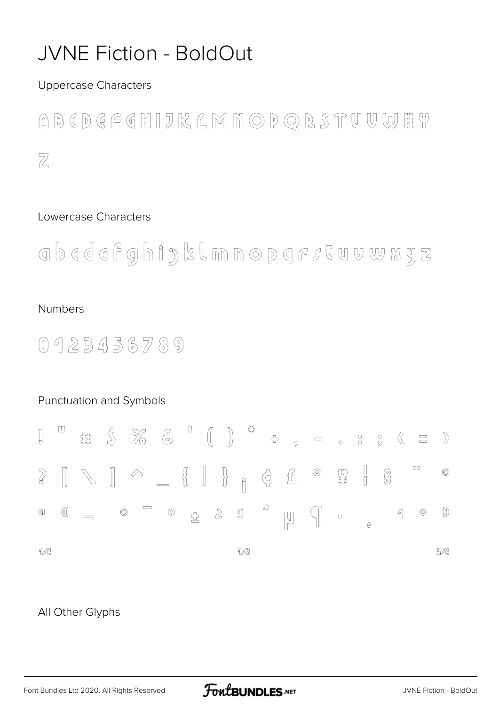### **JVNE Fiction - BoldOut**

**Uppercase Characters** 

ABCDEFEHIJKLMNOPQRSTUVWHY  $\overline{Z}$ 

#### Lowercase Characters

abcdefghiyklmnopqr*i*cuwwxyz

#### **Numbers**

 $0423456789$ 

#### Punctuation and Symbols  $\begin{picture}(120,15) \put(0,0){\vector(1,0){30}} \put(15,0){\vector(1,0){30}} \put(15,0){\vector(1,0){30}} \put(15,0){\vector(1,0){30}} \put(15,0){\vector(1,0){30}} \put(15,0){\vector(1,0){30}} \put(15,0){\vector(1,0){30}} \put(15,0){\vector(1,0){30}} \put(15,0){\vector(1,0){30}} \put(15,0){\vector(1,0){30}} \put(15,0){\vector(1,0){30}} \put(15,0){\vector($  $\hfill\text{\rm m}$  $\begin{bmatrix} 1 \\ 2 \end{bmatrix}$  $\begin{array}{ccccccccccccc} \multicolumn{4}{c|}{\fbox{1}} & \multicolumn{4}{c|}{\circ} & \multicolumn{4}{c|}{\circ} & \multicolumn{4}{c|}{\circ} & \multicolumn{4}{c|}{\circ} & \multicolumn{4}{c|}{\circ} & \multicolumn{4}{c|}{\circ} & \multicolumn{4}{c|}{\circ} & \multicolumn{4}{c|}{\circ} & \multicolumn{4}{c|}{\circ} & \multicolumn{4}{c|}{\circ} & \multicolumn{4}{c|}{\circ} & \multicolumn{4}{c|}{\circ} & \multicolumn{4}{c|}{\circ} & \multicolumn{4}{c|}{\$  $\left\langle \right\rangle$  $\overline{\mathbb{G}}$  $\Box$  $\overline{Q}$  $\begin{bmatrix} 0 \\ \xi \end{bmatrix}$  $\circ$  $\mathbb{C}$   $\begin{bmatrix} \mathbb{C} & \mathbb{C} & \mathbb{C} & \mathbb{C} & \mathbb{C} & \mathbb{C} & \mathbb{C} & \mathbb{C} & \mathbb{C} & \mathbb{C} & \mathbb{C} & \mathbb{C} & \mathbb{C} & \mathbb{C} & \mathbb{C} & \mathbb{C} & \mathbb{C} & \mathbb{C} & \mathbb{C} & \mathbb{C} & \mathbb{C} & \mathbb{C} & \mathbb{C} & \mathbb{C} & \mathbb{C} & \mathbb{C} & \mathbb{C} & \mathbb{C} & \mathbb{C} & \math$  $\textcircled{\scriptsize{2}}$ IP  $\sqrt{8}$  $^{\circledR}$  $\bigcirc$  $2<sup>5</sup>$  $\sqrt{\sqrt{2}}$  $\mathbb{D}$  $\mathbb{Q}$  $^{\circledR}$  $\circledcirc$  $\mathbb{R}$  $\odot$  $\sqrt{ }$  $\overline{\phantom{a}}$ <u>소</u>  $\begin{bmatrix} 1 \\ -1 \end{bmatrix}$  $\circ$   $\circ$  $M$  $\mathcal{W}$  $3/4$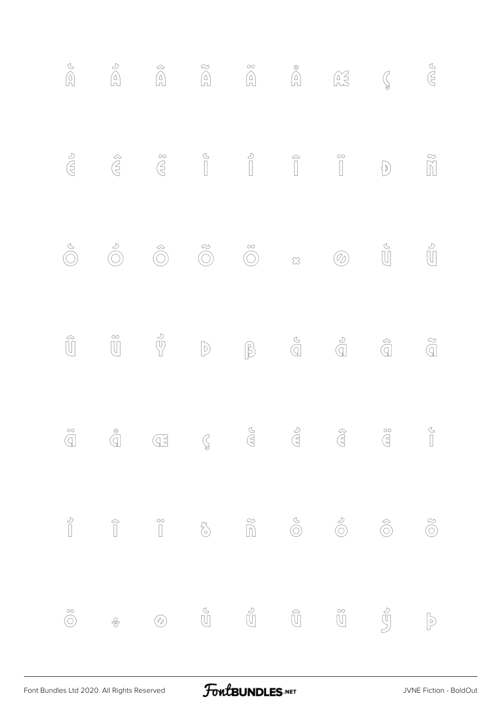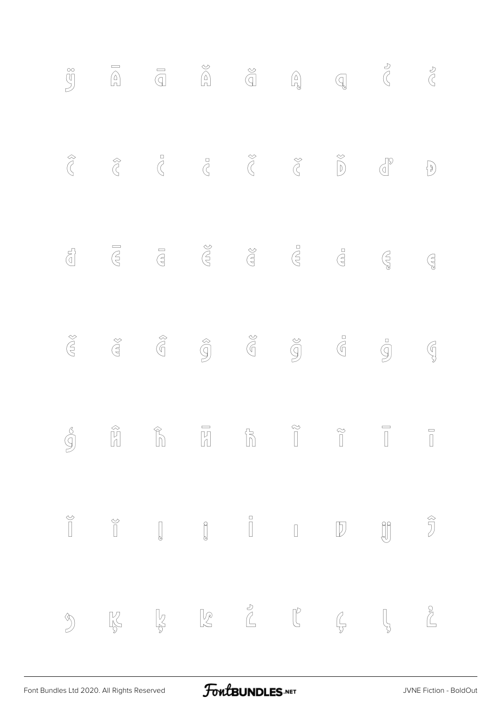|                                                                                                                                                                                                                                                                                                                                                     |  |  |                                                                                                                                                                                                                                                                                                                                               |                                                                                                                                                                                                                                                                                                                                                                                                                                                                                                                                                                                                                                                         | $\begin{array}{c} 0 \\ 0 \\ 0 \end{array}$ |
|-----------------------------------------------------------------------------------------------------------------------------------------------------------------------------------------------------------------------------------------------------------------------------------------------------------------------------------------------------|--|--|-----------------------------------------------------------------------------------------------------------------------------------------------------------------------------------------------------------------------------------------------------------------------------------------------------------------------------------------------|---------------------------------------------------------------------------------------------------------------------------------------------------------------------------------------------------------------------------------------------------------------------------------------------------------------------------------------------------------------------------------------------------------------------------------------------------------------------------------------------------------------------------------------------------------------------------------------------------------------------------------------------------------|--------------------------------------------|
| $\bigotimes$                                                                                                                                                                                                                                                                                                                                        |  |  |                                                                                                                                                                                                                                                                                                                                               | $\begin{picture}(130,10) \put(0,0){\line(1,0){10}} \put(15,0){\line(1,0){10}} \put(15,0){\line(1,0){10}} \put(15,0){\line(1,0){10}} \put(15,0){\line(1,0){10}} \put(15,0){\line(1,0){10}} \put(15,0){\line(1,0){10}} \put(15,0){\line(1,0){10}} \put(15,0){\line(1,0){10}} \put(15,0){\line(1,0){10}} \put(15,0){\line(1,0){10}} \put(15,0){\line($                                                                                                                                                                                                                                                                                                     | $\bigodot$                                 |
|                                                                                                                                                                                                                                                                                                                                                     |  |  |                                                                                                                                                                                                                                                                                                                                               | $\begin{picture}(120,110) \put(0,0){\line(1,0){150}} \put(15,0){\line(1,0){150}} \put(15,0){\line(1,0){150}} \put(15,0){\line(1,0){150}} \put(15,0){\line(1,0){150}} \put(15,0){\line(1,0){150}} \put(15,0){\line(1,0){150}} \put(15,0){\line(1,0){150}} \put(15,0){\line(1,0){150}} \put(15,0){\line(1,0){150}} \put(15,0){\line(1,0){150$                                                                                                                                                                                                                                                                                                             | $\bigoplus_{\mathfrak{S}}$                 |
| $\bigoplus_{i=1}^{\infty} \bigotimes_{i=1}^{\infty}$                                                                                                                                                                                                                                                                                                |  |  | $\begin{picture}(20,20) \put(0,0){\line(1,0){155}} \put(15,0){\line(1,0){155}} \put(15,0){\line(1,0){155}} \put(15,0){\line(1,0){155}} \put(15,0){\line(1,0){155}} \put(15,0){\line(1,0){155}} \put(15,0){\line(1,0){155}} \put(15,0){\line(1,0){155}} \put(15,0){\line(1,0){155}} \put(15,0){\line(1,0){155}} \put(15,0){\line(1,0){155}} \$ | $\overline{9}$                                                                                                                                                                                                                                                                                                                                                                                                                                                                                                                                                                                                                                          | $\mathbb{G}$                               |
|                                                                                                                                                                                                                                                                                                                                                     |  |  |                                                                                                                                                                                                                                                                                                                                               | $\begin{array}{ccccccccccccc} \mathcal{S} & & & \mathcal{C} & & & \mathcal{C} & & \mathcal{C} & & \mathcal{C} & & \mathcal{C} & & \mathcal{C} & & \mathcal{C} & & \mathcal{C} & & \mathcal{C} & & \mathcal{C} & & \mathcal{C} & & \mathcal{C} & & \mathcal{C} & & \mathcal{C} & & \mathcal{C} & & \mathcal{C} & & \mathcal{C} & & \mathcal{C} & & \mathcal{C} & & \mathcal{C} & & \mathcal{C} & & \mathcal{C} & & \mathcal{C} & & \mathcal{C} & & \mathcal{C} & &$                                                                                                                                                                                      |                                            |
|                                                                                                                                                                                                                                                                                                                                                     |  |  |                                                                                                                                                                                                                                                                                                                                               | $\begin{matrix} \circledcirc \\ \circledcirc \end{matrix} \qquad \quad \begin{matrix} \circledcirc \\ \circledcirc \end{matrix} \qquad \quad \begin{matrix} \circledcirc \\ \circledcirc \end{matrix} \qquad \qquad \begin{matrix} \circledcirc \\ \circledcirc \end{matrix} \qquad \qquad \begin{matrix} \circledcirc \\ \circledcirc \end{matrix} \qquad \qquad \begin{matrix} \circledcirc \\ \circledcirc \end{matrix} \qquad \qquad \begin{matrix} \circledcirc \\ \circledcirc \end{matrix} \qquad \qquad \begin{matrix} \circledcirc \\ \circledcirc \end{matrix} \qquad \qquad \begin{matrix} \circledcirc \\ \circledcirc \end{matrix} \qquad$ |                                            |
| $\begin{picture}(20,20) \put(0,0){\line(1,0){10}} \put(15,0){\line(1,0){10}} \put(15,0){\line(1,0){10}} \put(15,0){\line(1,0){10}} \put(15,0){\line(1,0){10}} \put(15,0){\line(1,0){10}} \put(15,0){\line(1,0){10}} \put(15,0){\line(1,0){10}} \put(15,0){\line(1,0){10}} \put(15,0){\line(1,0){10}} \put(15,0){\line(1,0){10}} \put(15,0){\line(1$ |  |  |                                                                                                                                                                                                                                                                                                                                               |                                                                                                                                                                                                                                                                                                                                                                                                                                                                                                                                                                                                                                                         |                                            |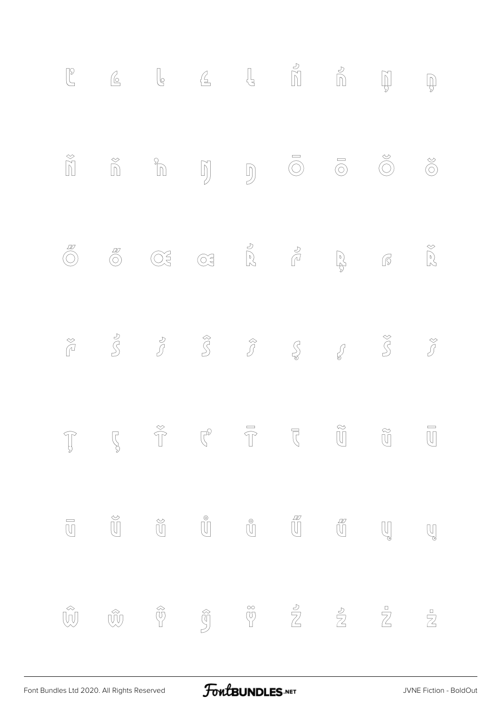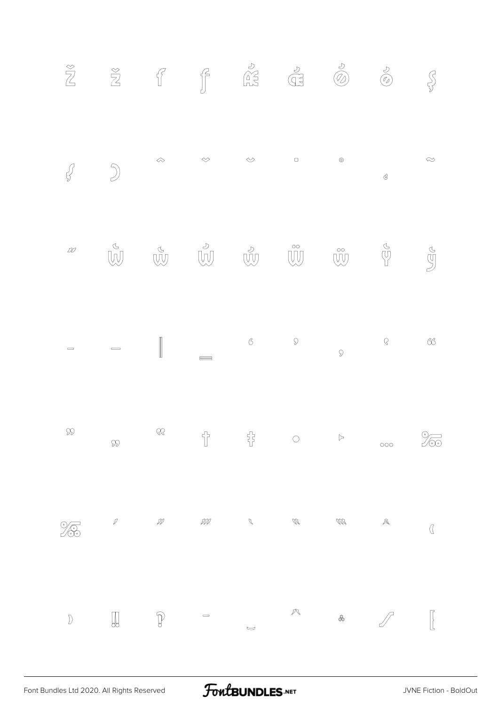|                              |                                                                                                                     | $\begin{array}{ccccccccc} & & & & & & & \oslash & & & \oslash & & & \oslash & & & \oslash & & & \oslash & & & \oslash & & & \oslash & & & \oslash & & & \oslash & & & \oslash & & & \oslash & & & \oslash & & & \oslash & & & \oslash & & & \oslash & & & \oslash & & & \oslash & & & \oslash & & & \oslash & & & \oslash & & & \oslash & & & \oslash & & & \oslash & & & \oslash & & & \oslash & & & \oslash & & & \oslash & & & \oslash & & & \oslash & & & \oslash & & & \oslash & & & \oslash & & & \oslash & & & \oslash & & &$ |                                    |                                |               |                     |                     | $\approx$                      |
|------------------------------|---------------------------------------------------------------------------------------------------------------------|--------------------------------------------------------------------------------------------------------------------------------------------------------------------------------------------------------------------------------------------------------------------------------------------------------------------------------------------------------------------------------------------------------------------------------------------------------------------------------------------------------------------------------------|------------------------------------|--------------------------------|---------------|---------------------|---------------------|--------------------------------|
|                              |                                                                                                                     |                                                                                                                                                                                                                                                                                                                                                                                                                                                                                                                                      |                                    |                                |               |                     |                     |                                |
| $\qquad \qquad \blacksquare$ |                                                                                                                     |                                                                                                                                                                                                                                                                                                                                                                                                                                                                                                                                      |                                    |                                |               |                     |                     |                                |
| $\infty$                     | $\mathcal{D}$                                                                                                       | $\mathbb{Q}\mathbb{Q}$                                                                                                                                                                                                                                                                                                                                                                                                                                                                                                               | $\overline{T}$                     | 뮵                              | $\circ$       | $\triangleright$    | $\circ\circ\circ$   | $\frac{\gamma}{\sqrt{\infty}}$ |
| <b>13</b>                    | $\mathcal{D}% _{G}=\mathcal{D}_{G}\left( \mathcal{A}_{G}\right) \equiv\mathcal{D}_{G}\left( \mathcal{A}_{G}\right)$ | $\mathcal{D\!P}$                                                                                                                                                                                                                                                                                                                                                                                                                                                                                                                     | $\mathcal{D\!D\!D}$                | $\mathcal{J}$                  | $\mathcal{U}$ | $\mathcal{W}$       | $\mathcal{A}% _{0}$ | $\overline{a}$                 |
| $\Bigr)$                     |                                                                                                                     |                                                                                                                                                                                                                                                                                                                                                                                                                                                                                                                                      | $\qquad \qquad \qquad \qquad \Box$ | $\smash{\smash{\smash{\cup}}}$ |               | $\hat{\mathcal{R}}$ |                     |                                |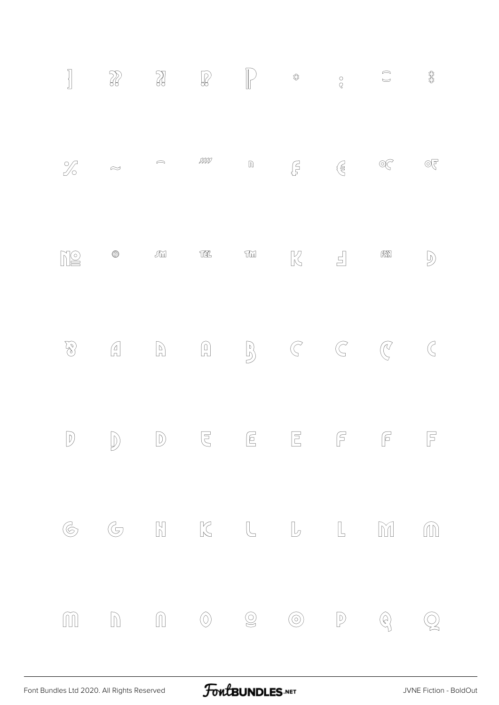| $\begin{bmatrix} \phantom{-} \\ \phantom{-} \\ \phantom{-} \end{bmatrix}$ |                |                                                                                                                                                                                                                                                                                                                                                                         |                                                                                                                                                                                                                                                                                                                                                     | $\left(\begin{array}{c} \rule{0pt}{12pt} \\[-1mm] \rule{0pt}{12pt} \end{array}\right)$                                                                                                                                                                                                                                                                                      | $\mathbb{S}^2_{\mathbb{S}^2}$ |
|---------------------------------------------------------------------------|----------------|-------------------------------------------------------------------------------------------------------------------------------------------------------------------------------------------------------------------------------------------------------------------------------------------------------------------------------------------------------------------------|-----------------------------------------------------------------------------------------------------------------------------------------------------------------------------------------------------------------------------------------------------------------------------------------------------------------------------------------------------|-----------------------------------------------------------------------------------------------------------------------------------------------------------------------------------------------------------------------------------------------------------------------------------------------------------------------------------------------------------------------------|-------------------------------|
| $\%$ $\approx$                                                            |                | DDDI                                                                                                                                                                                                                                                                                                                                                                    |                                                                                                                                                                                                                                                                                                                                                     | $\begin{picture}(20,10) \put(0,0){\line(1,0){10}} \put(15,0){\line(1,0){10}} \put(15,0){\line(1,0){10}} \put(15,0){\line(1,0){10}} \put(15,0){\line(1,0){10}} \put(15,0){\line(1,0){10}} \put(15,0){\line(1,0){10}} \put(15,0){\line(1,0){10}} \put(15,0){\line(1,0){10}} \put(15,0){\line(1,0){10}} \put(15,0){\line(1,0){10}} \put(15,0){\line(1$                         |                               |
| NQ                                                                        | $\circledcirc$ | $\begin{picture}(420,40) \put(0,0){\dashbox{0.5}(60,0){ }} \put(15,0){\dashbox{0.5}(60,0){ }} \put(15,0){\dashbox{0.5}(60,0){ }} \put(15,0){\dashbox{0.5}(60,0){ }} \put(15,0){\dashbox{0.5}(60,0){ }} \put(15,0){\dashbox{0.5}(60,0){ }} \put(15,0){\dashbox{0.5}(60,0){ }} \put(15,0){\dashbox{0.5}(60,0){ }} \put(15,0){\dashbox{0.5}(60,0){ }} \put(15,0){\dashbox$ | $\begin{matrix} 1 & 1 \\ 1 & 1 \end{matrix}$                                                                                                                                                                                                                                                                                                        | $\left[\begin{smallmatrix} 0 & 0 \\ 0 & 0 \end{smallmatrix}\right]$                                                                                                                                                                                                                                                                                                         | $\overline{D}$                |
|                                                                           |                |                                                                                                                                                                                                                                                                                                                                                                         |                                                                                                                                                                                                                                                                                                                                                     |                                                                                                                                                                                                                                                                                                                                                                             | $\mathbb{C}$                  |
|                                                                           |                |                                                                                                                                                                                                                                                                                                                                                                         |                                                                                                                                                                                                                                                                                                                                                     | $\begin{matrix} \mathbb{D} & \mathbb{D} & \mathbb{D} & \mathbb{E} & \mathbb{E} & \mathbb{E} & \mathbb{E} & \mathbb{E} & \mathbb{E} & \mathbb{E} & \mathbb{E} & \mathbb{E} \end{matrix}$                                                                                                                                                                                     |                               |
| $\circledG$                                                               |                |                                                                                                                                                                                                                                                                                                                                                                         |                                                                                                                                                                                                                                                                                                                                                     | $\begin{picture}(130,10) \put(0,0){\vector(1,0){100}} \put(15,0){\vector(1,0){100}} \put(15,0){\vector(1,0){100}} \put(15,0){\vector(1,0){100}} \put(15,0){\vector(1,0){100}} \put(15,0){\vector(1,0){100}} \put(15,0){\vector(1,0){100}} \put(15,0){\vector(1,0){100}} \put(15,0){\vector(1,0){100}} \put(15,0){\vector(1,0){100}} \put(15,0){\vector(1,0){100}}$          |                               |
|                                                                           |                |                                                                                                                                                                                                                                                                                                                                                                         | $\begin{picture}(160,170) \put(0,0){\line(1,0){10}} \put(15,0){\line(1,0){10}} \put(15,0){\line(1,0){10}} \put(15,0){\line(1,0){10}} \put(15,0){\line(1,0){10}} \put(15,0){\line(1,0){10}} \put(15,0){\line(1,0){10}} \put(15,0){\line(1,0){10}} \put(15,0){\line(1,0){10}} \put(15,0){\line(1,0){10}} \put(15,0){\line(1,0){10}} \put(15,0){\line$ | $\begin{picture}(20,20) \put(0,0){\vector(1,0){10}} \put(15,0){\vector(1,0){10}} \put(15,0){\vector(1,0){10}} \put(15,0){\vector(1,0){10}} \put(15,0){\vector(1,0){10}} \put(15,0){\vector(1,0){10}} \put(15,0){\vector(1,0){10}} \put(15,0){\vector(1,0){10}} \put(15,0){\vector(1,0){10}} \put(15,0){\vector(1,0){10}} \put(15,0){\vector(1,0){10}} \put(15,0){\vector(1$ | $\mathbb{Q}$                  |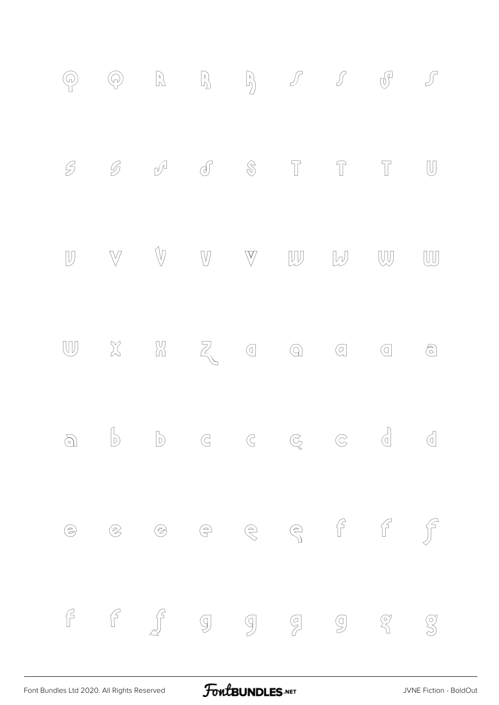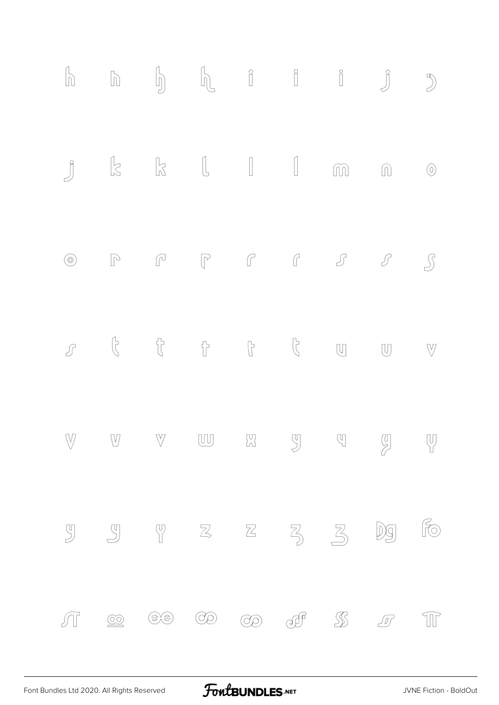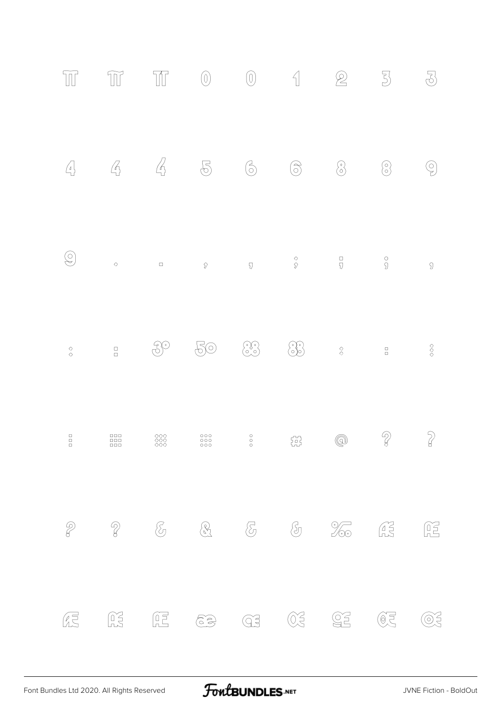| $\overline{\mathbb{H}}$                               | $\widetilde{\mathbb{U}}$ | T                                                                                                                                                                                                                                                                                                                                                   | $\left( 0\right)$                                                                                                                                                                                                                                                                                                                                        | $\left(\!\begin{smallmatrix} 0 \ 0 \end{smallmatrix}\right)$                                                                                                                                                                                                                                                                                        | $\left\{ \right\}$                                                                                                                                                                                                                                                                                                                                       | $\bigotimes$                                       | $\overline{\mathbb{S}}$                                                                                                                                                                                                                                                                                                                                                     | $\overline{\mathbb{S}}$              |
|-------------------------------------------------------|--------------------------|-----------------------------------------------------------------------------------------------------------------------------------------------------------------------------------------------------------------------------------------------------------------------------------------------------------------------------------------------------|----------------------------------------------------------------------------------------------------------------------------------------------------------------------------------------------------------------------------------------------------------------------------------------------------------------------------------------------------------|-----------------------------------------------------------------------------------------------------------------------------------------------------------------------------------------------------------------------------------------------------------------------------------------------------------------------------------------------------|----------------------------------------------------------------------------------------------------------------------------------------------------------------------------------------------------------------------------------------------------------------------------------------------------------------------------------------------------------|----------------------------------------------------|-----------------------------------------------------------------------------------------------------------------------------------------------------------------------------------------------------------------------------------------------------------------------------------------------------------------------------------------------------------------------------|--------------------------------------|
| $\left(\begin{matrix}4\\1\end{matrix}\right)$         | $\mathcal{L}_{\!\!1}$    | $\mathcal{L}_{\!\!\scriptscriptstyle\beta}$                                                                                                                                                                                                                                                                                                         | $\mathbb{P}$                                                                                                                                                                                                                                                                                                                                             | $\odot$                                                                                                                                                                                                                                                                                                                                             | $\circledS$                                                                                                                                                                                                                                                                                                                                              | $\circledS$                                        | $\odot$                                                                                                                                                                                                                                                                                                                                                                     | Ģ                                    |
| $\bigcircledS$                                        | $\Diamond$               | $\Box$                                                                                                                                                                                                                                                                                                                                              | $\hat{\mathcal{V}}$                                                                                                                                                                                                                                                                                                                                      | $\overline{\mathbb{Q}}$                                                                                                                                                                                                                                                                                                                             | $\begin{array}{c}\Diamond \ \heartsuit \end{array}$                                                                                                                                                                                                                                                                                                      | $\frac{\Box}{\Box}$                                | $^\circ$                                                                                                                                                                                                                                                                                                                                                                    | $\overline{\mathfrak{D}}$            |
| $\begin{array}{c}\n\Diamond \\ \Diamond\n\end{array}$ | $\Box$                   | $\mathcal{S}^{\odot}$                                                                                                                                                                                                                                                                                                                               | 50                                                                                                                                                                                                                                                                                                                                                       | $\odot$                                                                                                                                                                                                                                                                                                                                             | $\bigcirc$                                                                                                                                                                                                                                                                                                                                               | $\begin{matrix} \diamond \\ \diamond \end{matrix}$ | $\overline{\square}$                                                                                                                                                                                                                                                                                                                                                        | $\Diamond \Diamond$                  |
| $\Box$<br>$\begin{bmatrix} 1 \\ 0 \\ 1 \end{bmatrix}$ | DDD -<br>$\frac{1}{100}$ | 888                                                                                                                                                                                                                                                                                                                                                 | 000<br>000<br>000                                                                                                                                                                                                                                                                                                                                        | $\circ$<br>$\circ$                                                                                                                                                                                                                                                                                                                                  | $\begin{pmatrix} 1 & 1 \\ 0 & 1 \end{pmatrix}$                                                                                                                                                                                                                                                                                                           | $\circledS$                                        | $\mathbb{Q}$                                                                                                                                                                                                                                                                                                                                                                | $\gamma$                             |
| $\bigotimes$                                          | $\mathcal{D}$            | $\bigotimes$                                                                                                                                                                                                                                                                                                                                        | <u>2</u>                                                                                                                                                                                                                                                                                                                                                 |                                                                                                                                                                                                                                                                                                                                                     |                                                                                                                                                                                                                                                                                                                                                          | $\frac{1}{\sqrt{2}}$                               | $\begin{picture}(40,40) \put(0,0){\vector(0,1){10}} \put(15,0){\vector(0,1){10}} \put(15,0){\vector(0,1){10}} \put(15,0){\vector(0,1){10}} \put(15,0){\vector(0,1){10}} \put(15,0){\vector(0,1){10}} \put(15,0){\vector(0,1){10}} \put(15,0){\vector(0,1){10}} \put(15,0){\vector(0,1){10}} \put(15,0){\vector(0,1){10}} \put(15,0){\vector(0,1){10}} \put(15,0){\vector(0$ | $\begin{matrix} 0 \\ 1 \end{matrix}$ |
| Æ                                                     | $\widetilde{\mathbb{R}}$ | $\begin{picture}(20,20) \put(0,0){\line(1,0){10}} \put(15,0){\line(1,0){10}} \put(15,0){\line(1,0){10}} \put(15,0){\line(1,0){10}} \put(15,0){\line(1,0){10}} \put(15,0){\line(1,0){10}} \put(15,0){\line(1,0){10}} \put(15,0){\line(1,0){10}} \put(15,0){\line(1,0){10}} \put(15,0){\line(1,0){10}} \put(15,0){\line(1,0){10}} \put(15,0){\line(1$ | $\begin{picture}(40,40) \put(0,0){\line(1,0){15}} \put(0,0){\line(1,0){15}} \put(0,0){\line(1,0){15}} \put(0,0){\line(1,0){15}} \put(0,0){\line(1,0){15}} \put(0,0){\line(1,0){15}} \put(0,0){\line(1,0){15}} \put(0,0){\line(1,0){15}} \put(0,0){\line(1,0){15}} \put(0,0){\line(1,0){15}} \put(0,0){\line(1,0){15}} \put(0,0){\line(1,0){15}} \put(0,$ | $\begin{picture}(40,40) \put(0,0){\line(1,0){155}} \put(0,0){\line(1,0){155}} \put(0,0){\line(1,0){155}} \put(0,0){\line(1,0){155}} \put(0,0){\line(1,0){155}} \put(0,0){\line(1,0){155}} \put(0,0){\line(1,0){155}} \put(0,0){\line(1,0){155}} \put(0,0){\line(1,0){155}} \put(0,0){\line(1,0){155}} \put(0,0){\line(1,0){155}} \put(0,0){\line(1$ | $\begin{picture}(20,20) \put(0,0){\line(1,0){10}} \put(0,0){\line(1,0){10}} \put(0,0){\line(1,0){10}} \put(0,0){\line(1,0){10}} \put(0,0){\line(1,0){10}} \put(0,0){\line(1,0){10}} \put(0,0){\line(1,0){10}} \put(0,0){\line(1,0){10}} \put(0,0){\line(1,0){10}} \put(0,0){\line(1,0){10}} \put(0,0){\line(1,0){10}} \put(0,0){\line(1,0){10}} \put(0,$ | $\underbrace{\text{CS}}$                           | $\begin{picture}(20,20) \put(0,0){\line(1,0){10}} \put(0,0){\line(1,0){10}} \put(10,0){\line(1,0){10}} \put(10,0){\line(1,0){10}} \put(10,0){\line(1,0){10}} \put(10,0){\line(1,0){10}} \put(10,0){\line(1,0){10}} \put(10,0){\line(1,0){10}} \put(10,0){\line(1,0){10}} \put(10,0){\line(1,0){10}} \put(10,0){\line(1,0){10}} \put(10,0){\line(1,$                         | $\widetilde{\odot}$                  |